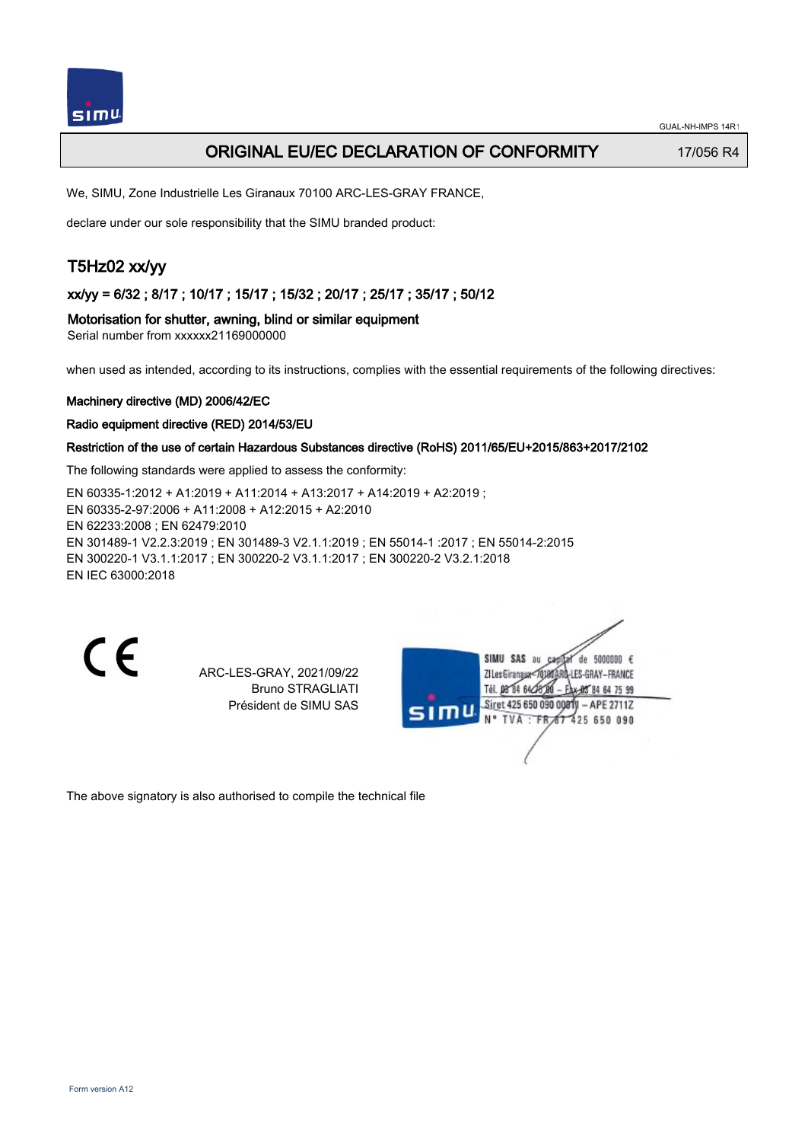## ORIGINAL EU/EC DECLARATION OF CONFORMITY 17/056 R4

We, SIMU, Zone Industrielle Les Giranaux 70100 ARC-LES-GRAY FRANCE,

declare under our sole responsibility that the SIMU branded product:

# T5Hz02 xx/yy

xx/yy = 6/32 ; 8/17 ; 10/17 ; 15/17 ; 15/32 ; 20/17 ; 25/17 ; 35/17 ; 50/12

Motorisation for shutter, awning, blind or similar equipment

Serial number from xxxxxx21169000000

when used as intended, according to its instructions, complies with the essential requirements of the following directives:

### Machinery directive (MD) 2006/42/EC

Radio equipment directive (RED) 2014/53/EU

### Restriction of the use of certain Hazardous Substances directive (RoHS) 2011/65/EU+2015/863+2017/2102

The following standards were applied to assess the conformity:

EN 60335‑1:2012 + A1:2019 + A11:2014 + A13:2017 + A14:2019 + A2:2019 ; EN 60335‑2‑97:2006 + A11:2008 + A12:2015 + A2:2010 EN 62233:2008 ; EN 62479:2010 EN 301489‑1 V2.2.3:2019 ; EN 301489‑3 V2.1.1:2019 ; EN 55014‑1 :2017 ; EN 55014‑2:2015 EN 300220‑1 V3.1.1:2017 ; EN 300220‑2 V3.1.1:2017 ; EN 300220‑2 V3.2.1:2018 EN IEC 63000:2018

 $\epsilon$ 

ARC-LES-GRAY, 2021/09/22 Bruno STRAGLIATI Président de SIMU SAS

de 5000000  $\epsilon$ **ZILesGiranaua** ES-GRAY-FRANCE THE DR'RA 64/2 85 84 64 75 99 Siret 425 650 090 00811 - APE 2711Z FR 67 425 650 090 **TVA** 

The above signatory is also authorised to compile the technical file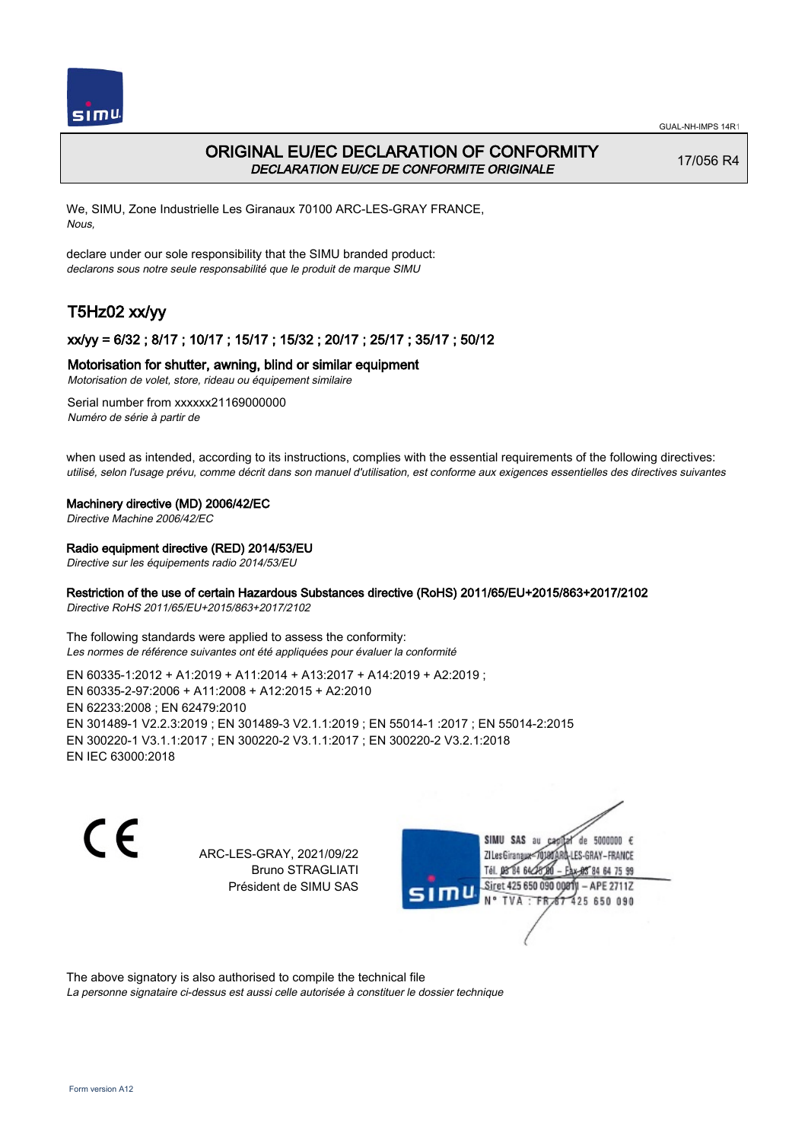

## ORIGINAL EU/EC DECLARATION OF CONFORMITY DECLARATION EU/CE DE CONFORMITE ORIGINALE

17/056 R4

We, SIMU, Zone Industrielle Les Giranaux 70100 ARC-LES-GRAY FRANCE, Nous,

declare under our sole responsibility that the SIMU branded product: declarons sous notre seule responsabilité que le produit de marque SIMU

# T5Hz02 xx/yy

## xx/yy = 6/32 ; 8/17 ; 10/17 ; 15/17 ; 15/32 ; 20/17 ; 25/17 ; 35/17 ; 50/12

## Motorisation for shutter, awning, blind or similar equipment

Motorisation de volet, store, rideau ou équipement similaire

Serial number from xxxxxx21169000000 Numéro de série à partir de

when used as intended, according to its instructions, complies with the essential requirements of the following directives: utilisé, selon l'usage prévu, comme décrit dans son manuel d'utilisation, est conforme aux exigences essentielles des directives suivantes

### Machinery directive (MD) 2006/42/EC

Directive Machine 2006/42/EC

## Radio equipment directive (RED) 2014/53/EU

Directive sur les équipements radio 2014/53/EU

## Restriction of the use of certain Hazardous Substances directive (RoHS) 2011/65/EU+2015/863+2017/2102

Directive RoHS 2011/65/EU+2015/863+2017/2102

The following standards were applied to assess the conformity: Les normes de référence suivantes ont été appliquées pour évaluer la conformité

EN 60335‑1:2012 + A1:2019 + A11:2014 + A13:2017 + A14:2019 + A2:2019 ; EN 60335‑2‑97:2006 + A11:2008 + A12:2015 + A2:2010 EN 62233:2008 ; EN 62479:2010 EN 301489‑1 V2.2.3:2019 ; EN 301489‑3 V2.1.1:2019 ; EN 55014‑1 :2017 ; EN 55014‑2:2015 EN 300220‑1 V3.1.1:2017 ; EN 300220‑2 V3.1.1:2017 ; EN 300220‑2 V3.2.1:2018 EN IEC 63000:2018

 $\epsilon$ 

ARC-LES-GRAY, 2021/09/22 Bruno STRAGLIATI Président de SIMU SAS



The above signatory is also authorised to compile the technical file

La personne signataire ci-dessus est aussi celle autorisée à constituer le dossier technique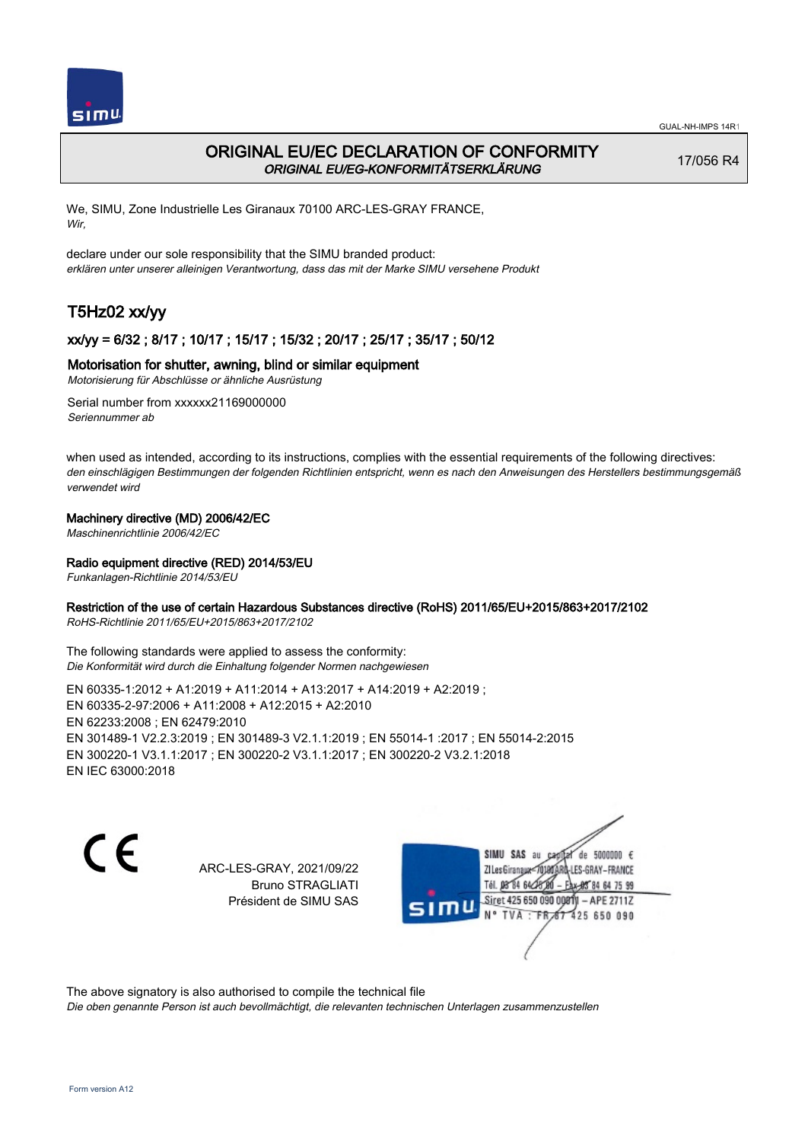

## ORIGINAL EU/EC DECLARATION OF CONFORMITY ORIGINAL EU/EG-KONFORMITÄTSERKLÄRUNG

17/056 R4

We, SIMU, Zone Industrielle Les Giranaux 70100 ARC-LES-GRAY FRANCE, Wir,

declare under our sole responsibility that the SIMU branded product: erklären unter unserer alleinigen Verantwortung, dass das mit der Marke SIMU versehene Produkt

# T5Hz02 xx/yy

## xx/yy = 6/32 ; 8/17 ; 10/17 ; 15/17 ; 15/32 ; 20/17 ; 25/17 ; 35/17 ; 50/12

## Motorisation for shutter, awning, blind or similar equipment

Motorisierung für Abschlüsse or ähnliche Ausrüstung

Serial number from xxxxxx21169000000 Seriennummer ab

when used as intended, according to its instructions, complies with the essential requirements of the following directives: den einschlägigen Bestimmungen der folgenden Richtlinien entspricht, wenn es nach den Anweisungen des Herstellers bestimmungsgemäß verwendet wird

## Machinery directive (MD) 2006/42/EC

Maschinenrichtlinie 2006/42/EC

## Radio equipment directive (RED) 2014/53/EU

Funkanlagen-Richtlinie 2014/53/EU

### Restriction of the use of certain Hazardous Substances directive (RoHS) 2011/65/EU+2015/863+2017/2102

RoHS-Richtlinie 2011/65/EU+2015/863+2017/2102

The following standards were applied to assess the conformity: Die Konformität wird durch die Einhaltung folgender Normen nachgewiesen

EN 60335‑1:2012 + A1:2019 + A11:2014 + A13:2017 + A14:2019 + A2:2019 ; EN 60335‑2‑97:2006 + A11:2008 + A12:2015 + A2:2010 EN 62233:2008 ; EN 62479:2010 EN 301489‑1 V2.2.3:2019 ; EN 301489‑3 V2.1.1:2019 ; EN 55014‑1 :2017 ; EN 55014‑2:2015 EN 300220‑1 V3.1.1:2017 ; EN 300220‑2 V3.1.1:2017 ; EN 300220‑2 V3.2.1:2018 EN IEC 63000:2018

C E

ARC-LES-GRAY, 2021/09/22 Bruno STRAGLIATI Président de SIMU SAS

SIMU SAS au de 5000000  $\epsilon$ ZI Les Giranaux-70180 LES-GRAY-FRANCE Tél. 08 84 64 24 64 75 99 Siret 425 650 090 008TV - APE 2711Z 425 650 090 **TVA:FR** 

The above signatory is also authorised to compile the technical file

Die oben genannte Person ist auch bevollmächtigt, die relevanten technischen Unterlagen zusammenzustellen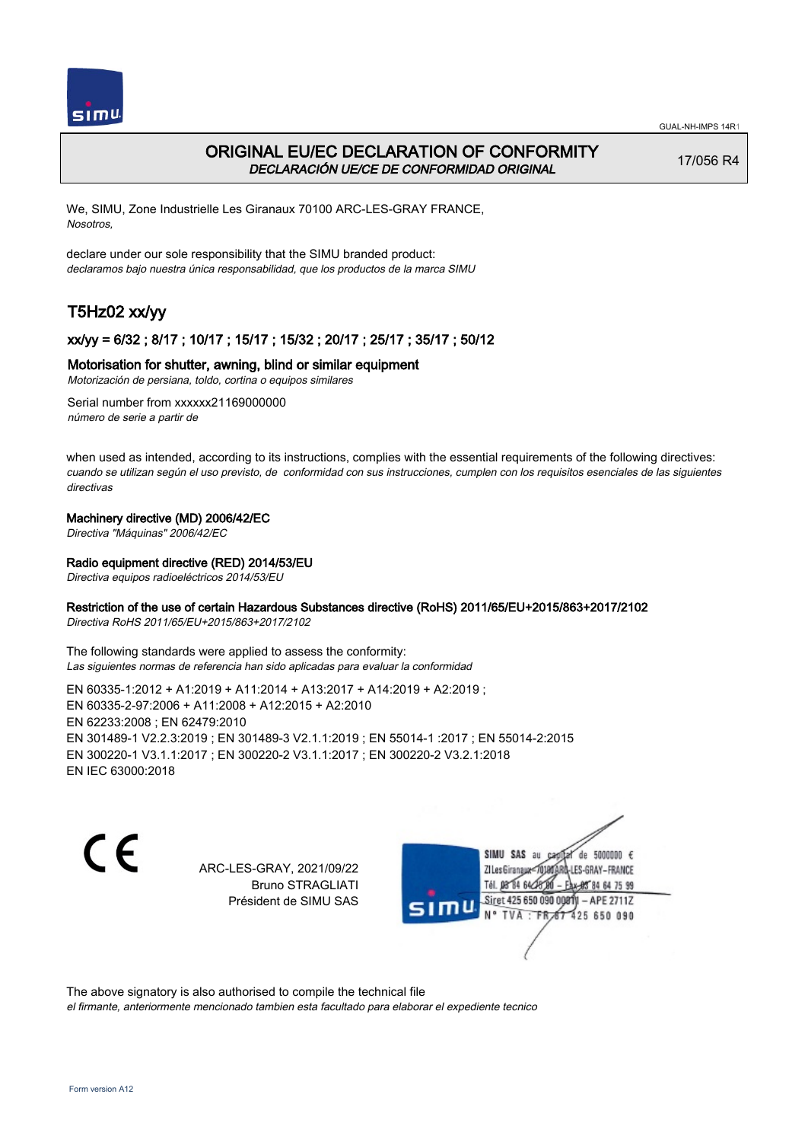

## ORIGINAL EU/EC DECLARATION OF CONFORMITY DECLARACIÓN UE/CE DE CONFORMIDAD ORIGINAL

17/056 R4

We, SIMU, Zone Industrielle Les Giranaux 70100 ARC-LES-GRAY FRANCE, Nosotros,

declare under our sole responsibility that the SIMU branded product: declaramos bajo nuestra única responsabilidad, que los productos de la marca SIMU

# T5Hz02 xx/yy

## xx/yy = 6/32 ; 8/17 ; 10/17 ; 15/17 ; 15/32 ; 20/17 ; 25/17 ; 35/17 ; 50/12

## Motorisation for shutter, awning, blind or similar equipment

Motorización de persiana, toldo, cortina o equipos similares

Serial number from xxxxxx21169000000 número de serie a partir de

when used as intended, according to its instructions, complies with the essential requirements of the following directives: cuando se utilizan según el uso previsto, de conformidad con sus instrucciones, cumplen con los requisitos esenciales de las siguientes directivas

## Machinery directive (MD) 2006/42/EC

Directiva "Máquinas" 2006/42/EC

### Radio equipment directive (RED) 2014/53/EU

Directiva equipos radioeléctricos 2014/53/EU

### Restriction of the use of certain Hazardous Substances directive (RoHS) 2011/65/EU+2015/863+2017/2102

Directiva RoHS 2011/65/EU+2015/863+2017/2102

The following standards were applied to assess the conformity: Las siguientes normas de referencia han sido aplicadas para evaluar la conformidad

EN 60335‑1:2012 + A1:2019 + A11:2014 + A13:2017 + A14:2019 + A2:2019 ; EN 60335‑2‑97:2006 + A11:2008 + A12:2015 + A2:2010 EN 62233:2008 ; EN 62479:2010 EN 301489‑1 V2.2.3:2019 ; EN 301489‑3 V2.1.1:2019 ; EN 55014‑1 :2017 ; EN 55014‑2:2015 EN 300220‑1 V3.1.1:2017 ; EN 300220‑2 V3.1.1:2017 ; EN 300220‑2 V3.2.1:2018 EN IEC 63000:2018

C E

ARC-LES-GRAY, 2021/09/22 Bruno STRAGLIATI Président de SIMU SAS

SIMU SAS au de 5000000  $\epsilon$ ZI Les Giranaux</DJ80 LES-GRAY-FRANCE Tél. 08 84 64 24 64 75 99 Siret 425 650 090 008TV - APE 2711Z 425 650 090 TVA: FR

The above signatory is also authorised to compile the technical file

el firmante, anteriormente mencionado tambien esta facultado para elaborar el expediente tecnico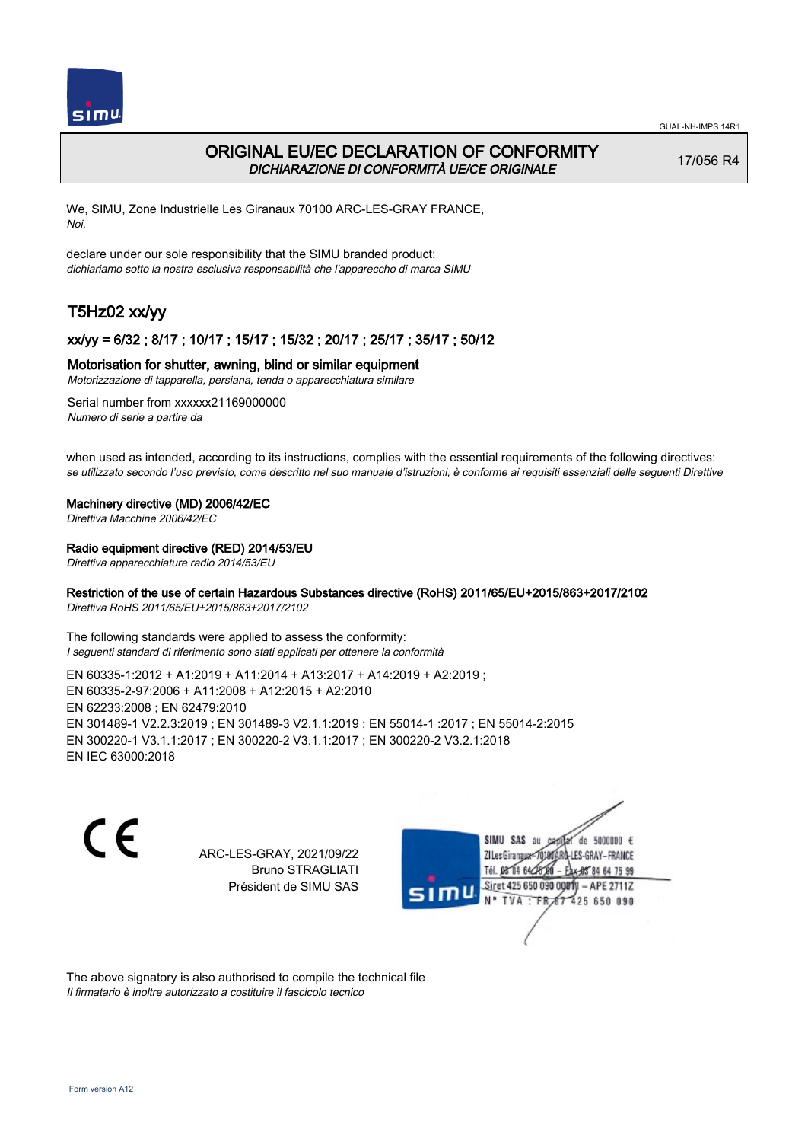

## ORIGINAL EU/EC DECLARATION OF CONFORMITY DICHIARAZIONE DI CONFORMITÀ UE/CE ORIGINALE

17/056 R4

We, SIMU, Zone Industrielle Les Giranaux 70100 ARC-LES-GRAY FRANCE, Noi,

declare under our sole responsibility that the SIMU branded product: dichiariamo sotto la nostra esclusiva responsabilità che l'appareccho di marca SIMU

# T5Hz02 xx/yy

## xx/yy = 6/32 ; 8/17 ; 10/17 ; 15/17 ; 15/32 ; 20/17 ; 25/17 ; 35/17 ; 50/12

### Motorisation for shutter, awning, blind or similar equipment

Motorizzazione di tapparella, persiana, tenda o apparecchiatura similare

Serial number from xxxxxx21169000000 Numero di serie a partire da

when used as intended, according to its instructions, complies with the essential requirements of the following directives: se utilizzato secondo l'uso previsto, come descritto nel suo manuale d'istruzioni, è conforme ai requisiti essenziali delle seguenti Direttive

#### Machinery directive (MD) 2006/42/EC

Direttiva Macchine 2006/42/EC

### Radio equipment directive (RED) 2014/53/EU

Direttiva apparecchiature radio 2014/53/EU

## Restriction of the use of certain Hazardous Substances directive (RoHS) 2011/65/EU+2015/863+2017/2102

Direttiva RoHS 2011/65/EU+2015/863+2017/2102

The following standards were applied to assess the conformity: I seguenti standard di riferimento sono stati applicati per ottenere la conformità

EN 60335‑1:2012 + A1:2019 + A11:2014 + A13:2017 + A14:2019 + A2:2019 ; EN 60335‑2‑97:2006 + A11:2008 + A12:2015 + A2:2010 EN 62233:2008 ; EN 62479:2010 EN 301489‑1 V2.2.3:2019 ; EN 301489‑3 V2.1.1:2019 ; EN 55014‑1 :2017 ; EN 55014‑2:2015 EN 300220‑1 V3.1.1:2017 ; EN 300220‑2 V3.1.1:2017 ; EN 300220‑2 V3.2.1:2018 EN IEC 63000:2018

 $\epsilon$ 

ARC-LES-GRAY, 2021/09/22 Bruno STRAGLIATI Président de SIMU SAS



The above signatory is also authorised to compile the technical file Il firmatario è inoltre autorizzato a costituire il fascicolo tecnico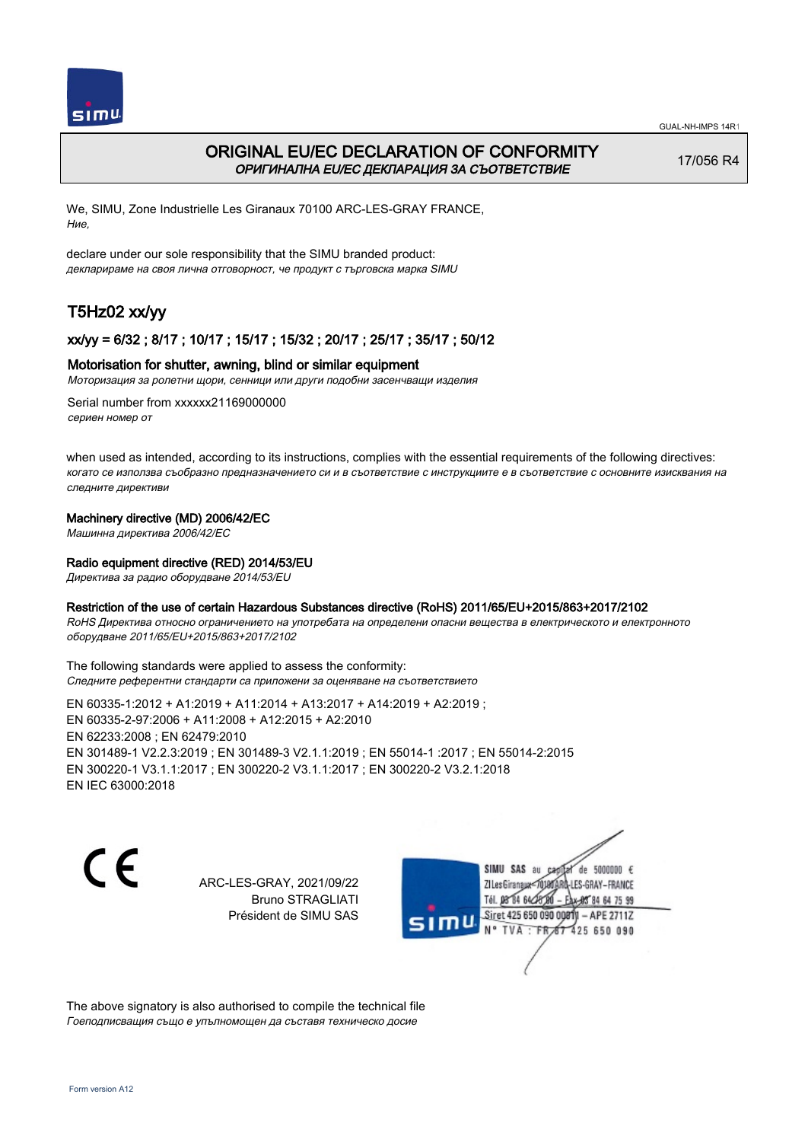

## ORIGINAL EU/EC DECLARATION OF CONFORMITY ОРИГИНАЛНА EU/EC ДЕКЛАРАЦИЯ ЗА СЪОТВЕТСТВИЕ

17/056 R4

We, SIMU, Zone Industrielle Les Giranaux 70100 ARC-LES-GRAY FRANCE, Ние,

declare under our sole responsibility that the SIMU branded product: декларираме на своя лична отговорност, че продукт с търговска марка SIMU

# T5Hz02 xx/yy

## xx/yy = 6/32 ; 8/17 ; 10/17 ; 15/17 ; 15/32 ; 20/17 ; 25/17 ; 35/17 ; 50/12

### Motorisation for shutter, awning, blind or similar equipment

Моторизация за ролетни щори, сенници или други подобни засенчващи изделия

Serial number from xxxxxx21169000000 сериен номер от

when used as intended, according to its instructions, complies with the essential requirements of the following directives: когато се използва съобразно предназначението си и в съответствие с инструкциите е в съответствие с основните изисквания на следните директиви

## Machinery directive (MD) 2006/42/EC

Машинна директива 2006/42/EC

## Radio equipment directive (RED) 2014/53/EU

Директива за радио оборудване 2014/53/EU

### Restriction of the use of certain Hazardous Substances directive (RoHS) 2011/65/EU+2015/863+2017/2102

RoHS Директива относно ограничението на употребата на определени опасни вещества в електрическото и електронното оборудване 2011/65/EU+2015/863+2017/2102

The following standards were applied to assess the conformity: Следните референтни стандарти са приложени за оценяване на съответствието

EN 60335‑1:2012 + A1:2019 + A11:2014 + A13:2017 + A14:2019 + A2:2019 ; EN 60335‑2‑97:2006 + A11:2008 + A12:2015 + A2:2010 EN 62233:2008 ; EN 62479:2010 EN 301489‑1 V2.2.3:2019 ; EN 301489‑3 V2.1.1:2019 ; EN 55014‑1 :2017 ; EN 55014‑2:2015 EN 300220‑1 V3.1.1:2017 ; EN 300220‑2 V3.1.1:2017 ; EN 300220‑2 V3.2.1:2018 EN IEC 63000:2018

C E

ARC-LES-GRAY, 2021/09/22 Bruno STRAGLIATI Président de SIMU SAS



The above signatory is also authorised to compile the technical file Гоеподписващия също е упълномощен да съставя техническо досие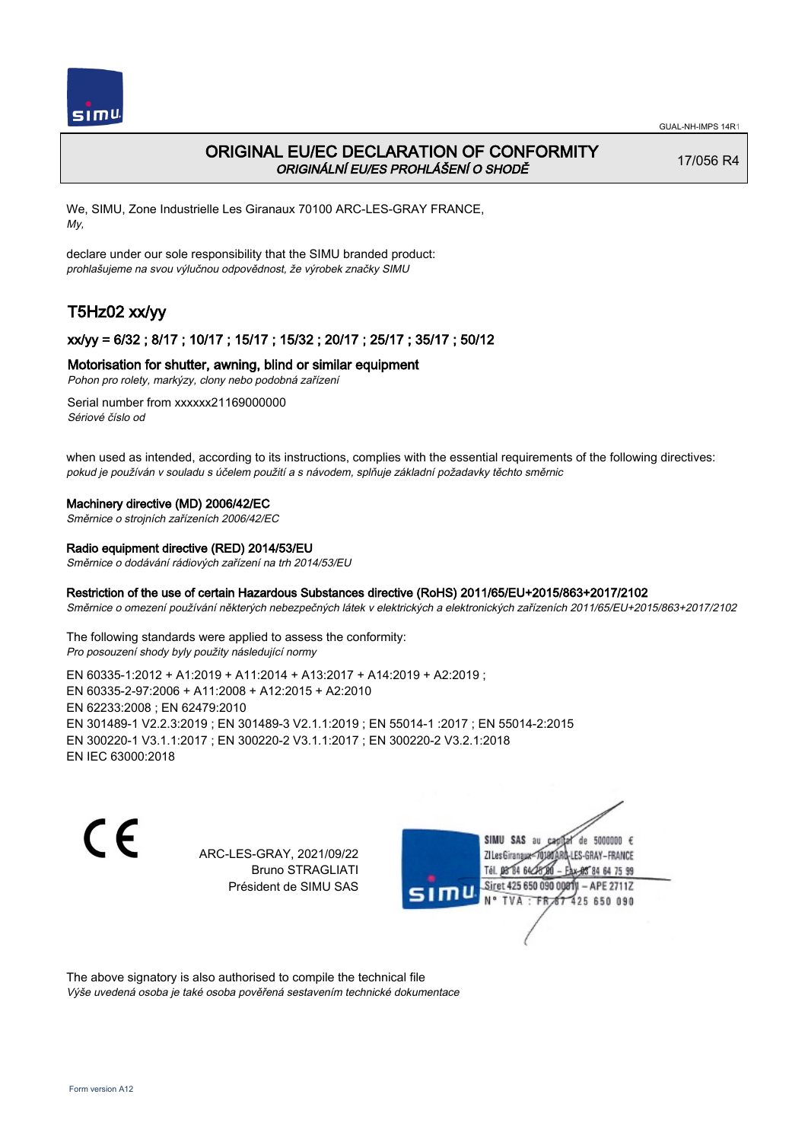

## ORIGINAL EU/EC DECLARATION OF CONFORMITY ORIGINÁLNÍ EU/ES PROHLÁŠENÍ O SHODĚ

17/056 R4

We, SIMU, Zone Industrielle Les Giranaux 70100 ARC-LES-GRAY FRANCE, My,

declare under our sole responsibility that the SIMU branded product: prohlašujeme na svou výlučnou odpovědnost, že výrobek značky SIMU

# T5Hz02 xx/yy

## xx/yy = 6/32 ; 8/17 ; 10/17 ; 15/17 ; 15/32 ; 20/17 ; 25/17 ; 35/17 ; 50/12

## Motorisation for shutter, awning, blind or similar equipment

Pohon pro rolety, markýzy, clony nebo podobná zařízení

Serial number from xxxxxx21169000000 Sériové číslo od

when used as intended, according to its instructions, complies with the essential requirements of the following directives: pokud je používán v souladu s účelem použití a s návodem, splňuje základní požadavky těchto směrnic

### Machinery directive (MD) 2006/42/EC

Směrnice o strojních zařízeních 2006/42/EC

### Radio equipment directive (RED) 2014/53/EU

Směrnice o dodávání rádiových zařízení na trh 2014/53/EU

## Restriction of the use of certain Hazardous Substances directive (RoHS) 2011/65/EU+2015/863+2017/2102

Směrnice o omezení používání některých nebezpečných látek v elektrických a elektronických zařízeních 2011/65/EU+2015/863+2017/2102

The following standards were applied to assess the conformity: Pro posouzení shody byly použity následující normy

EN 60335‑1:2012 + A1:2019 + A11:2014 + A13:2017 + A14:2019 + A2:2019 ; EN 60335‑2‑97:2006 + A11:2008 + A12:2015 + A2:2010 EN 62233:2008 ; EN 62479:2010 EN 301489‑1 V2.2.3:2019 ; EN 301489‑3 V2.1.1:2019 ; EN 55014‑1 :2017 ; EN 55014‑2:2015 EN 300220‑1 V3.1.1:2017 ; EN 300220‑2 V3.1.1:2017 ; EN 300220‑2 V3.2.1:2018 EN IEC 63000:2018

 $\epsilon$ 

ARC-LES-GRAY, 2021/09/22 Bruno STRAGLIATI Président de SIMU SAS



The above signatory is also authorised to compile the technical file Výše uvedená osoba je také osoba pověřená sestavením technické dokumentace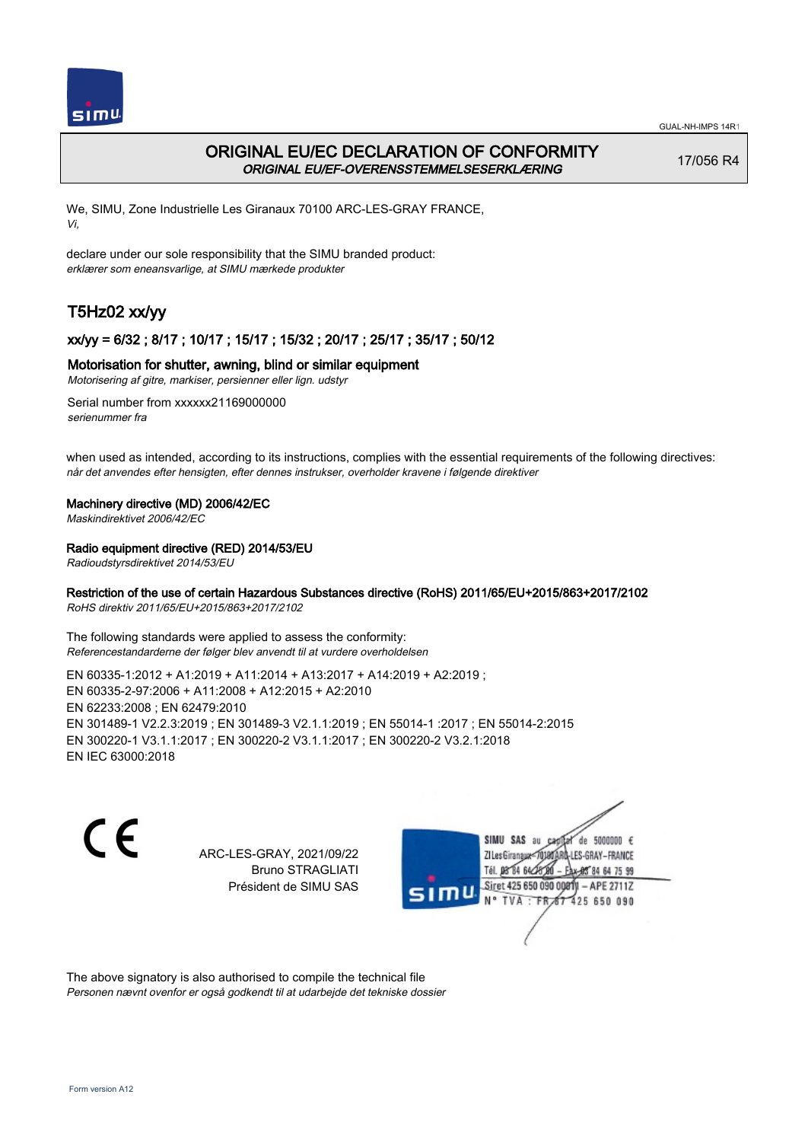

## ORIGINAL EU/EC DECLARATION OF CONFORMITY ORIGINAL EU/EF-OVERENSSTEMMELSESERKLÆRING

17/056 R4

We, SIMU, Zone Industrielle Les Giranaux 70100 ARC-LES-GRAY FRANCE, Vi,

declare under our sole responsibility that the SIMU branded product: erklærer som eneansvarlige, at SIMU mærkede produkter

# T5Hz02 xx/yy

## xx/yy = 6/32 ; 8/17 ; 10/17 ; 15/17 ; 15/32 ; 20/17 ; 25/17 ; 35/17 ; 50/12

## Motorisation for shutter, awning, blind or similar equipment

Motorisering af gitre, markiser, persienner eller lign. udstyr

Serial number from xxxxxx21169000000 serienummer fra

when used as intended, according to its instructions, complies with the essential requirements of the following directives: når det anvendes efter hensigten, efter dennes instrukser, overholder kravene i følgende direktiver

### Machinery directive (MD) 2006/42/EC

Maskindirektivet 2006/42/EC

## Radio equipment directive (RED) 2014/53/EU

Radioudstyrsdirektivet 2014/53/EU

## Restriction of the use of certain Hazardous Substances directive (RoHS) 2011/65/EU+2015/863+2017/2102

RoHS direktiv 2011/65/EU+2015/863+2017/2102

The following standards were applied to assess the conformity: Referencestandarderne der følger blev anvendt til at vurdere overholdelsen

EN 60335‑1:2012 + A1:2019 + A11:2014 + A13:2017 + A14:2019 + A2:2019 ; EN 60335‑2‑97:2006 + A11:2008 + A12:2015 + A2:2010 EN 62233:2008 ; EN 62479:2010 EN 301489‑1 V2.2.3:2019 ; EN 301489‑3 V2.1.1:2019 ; EN 55014‑1 :2017 ; EN 55014‑2:2015 EN 300220‑1 V3.1.1:2017 ; EN 300220‑2 V3.1.1:2017 ; EN 300220‑2 V3.2.1:2018 EN IEC 63000:2018

 $\epsilon$ 

ARC-LES-GRAY, 2021/09/22 Bruno STRAGLIATI Président de SIMU SAS



The above signatory is also authorised to compile the technical file Personen nævnt ovenfor er også godkendt til at udarbejde det tekniske dossier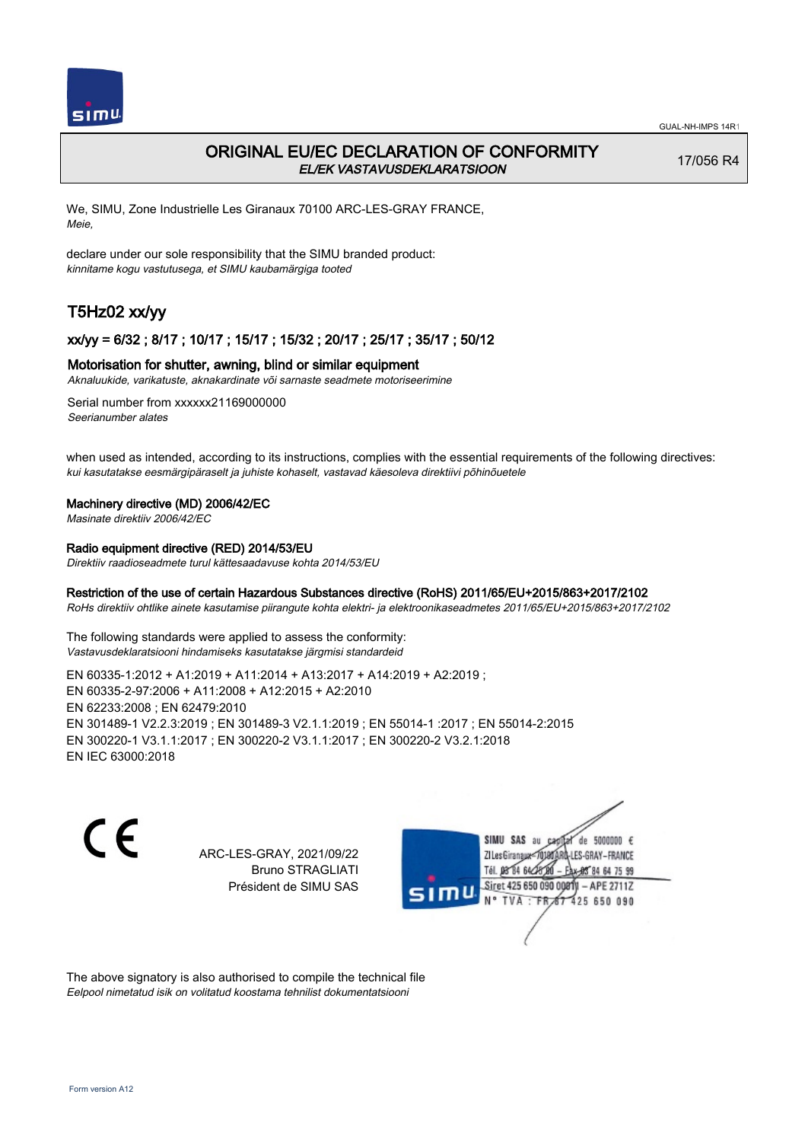

## ORIGINAL EU/EC DECLARATION OF CONFORMITY EL/EK VASTAVUSDEKLARATSIOON

17/056 R4

We, SIMU, Zone Industrielle Les Giranaux 70100 ARC-LES-GRAY FRANCE, Meie,

declare under our sole responsibility that the SIMU branded product: kinnitame kogu vastutusega, et SIMU kaubamärgiga tooted

# T5Hz02 xx/yy

## xx/yy = 6/32 ; 8/17 ; 10/17 ; 15/17 ; 15/32 ; 20/17 ; 25/17 ; 35/17 ; 50/12

### Motorisation for shutter, awning, blind or similar equipment

Aknaluukide, varikatuste, aknakardinate või sarnaste seadmete motoriseerimine

Serial number from xxxxxx21169000000 Seerianumber alates

when used as intended, according to its instructions, complies with the essential requirements of the following directives: kui kasutatakse eesmärgipäraselt ja juhiste kohaselt, vastavad käesoleva direktiivi põhinõuetele

#### Machinery directive (MD) 2006/42/EC

Masinate direktiiv 2006/42/EC

## Radio equipment directive (RED) 2014/53/EU

Direktiiv raadioseadmete turul kättesaadavuse kohta 2014/53/EU

#### Restriction of the use of certain Hazardous Substances directive (RoHS) 2011/65/EU+2015/863+2017/2102

RoHs direktiiv ohtlike ainete kasutamise piirangute kohta elektri- ja elektroonikaseadmetes 2011/65/EU+2015/863+2017/2102

The following standards were applied to assess the conformity: Vastavusdeklaratsiooni hindamiseks kasutatakse järgmisi standardeid

EN 60335‑1:2012 + A1:2019 + A11:2014 + A13:2017 + A14:2019 + A2:2019 ; EN 60335‑2‑97:2006 + A11:2008 + A12:2015 + A2:2010 EN 62233:2008 ; EN 62479:2010 EN 301489‑1 V2.2.3:2019 ; EN 301489‑3 V2.1.1:2019 ; EN 55014‑1 :2017 ; EN 55014‑2:2015 EN 300220‑1 V3.1.1:2017 ; EN 300220‑2 V3.1.1:2017 ; EN 300220‑2 V3.2.1:2018 EN IEC 63000:2018

 $\epsilon$ 

ARC-LES-GRAY, 2021/09/22 Bruno STRAGLIATI Président de SIMU SAS



The above signatory is also authorised to compile the technical file Eelpool nimetatud isik on volitatud koostama tehnilist dokumentatsiooni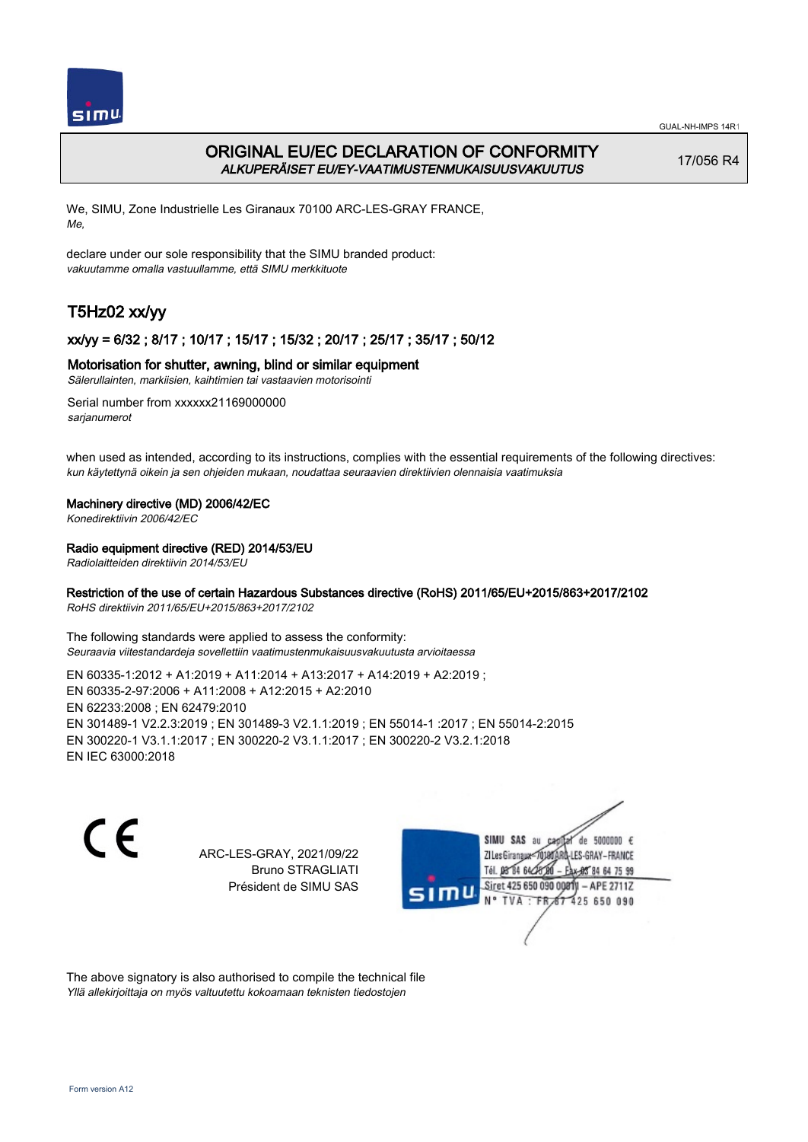

## ORIGINAL EU/EC DECLARATION OF CONFORMITY ALKUPERÄISET EU/EY-VAATIMUSTENMUKAISUUSVAKUUTUS

17/056 R4

We, SIMU, Zone Industrielle Les Giranaux 70100 ARC-LES-GRAY FRANCE, Me,

declare under our sole responsibility that the SIMU branded product: vakuutamme omalla vastuullamme, että SIMU merkkituote

# T5Hz02 xx/yy

## xx/yy = 6/32 ; 8/17 ; 10/17 ; 15/17 ; 15/32 ; 20/17 ; 25/17 ; 35/17 ; 50/12

## Motorisation for shutter, awning, blind or similar equipment

Sälerullainten, markiisien, kaihtimien tai vastaavien motorisointi

Serial number from xxxxxx21169000000 sarianumerot

when used as intended, according to its instructions, complies with the essential requirements of the following directives: kun käytettynä oikein ja sen ohjeiden mukaan, noudattaa seuraavien direktiivien olennaisia vaatimuksia

### Machinery directive (MD) 2006/42/EC

Konedirektiivin 2006/42/EC

## Radio equipment directive (RED) 2014/53/EU

Radiolaitteiden direktiivin 2014/53/EU

## Restriction of the use of certain Hazardous Substances directive (RoHS) 2011/65/EU+2015/863+2017/2102

RoHS direktiivin 2011/65/EU+2015/863+2017/2102

The following standards were applied to assess the conformity: Seuraavia viitestandardeja sovellettiin vaatimustenmukaisuusvakuutusta arvioitaessa

EN 60335‑1:2012 + A1:2019 + A11:2014 + A13:2017 + A14:2019 + A2:2019 ; EN 60335‑2‑97:2006 + A11:2008 + A12:2015 + A2:2010 EN 62233:2008 ; EN 62479:2010 EN 301489‑1 V2.2.3:2019 ; EN 301489‑3 V2.1.1:2019 ; EN 55014‑1 :2017 ; EN 55014‑2:2015 EN 300220‑1 V3.1.1:2017 ; EN 300220‑2 V3.1.1:2017 ; EN 300220‑2 V3.2.1:2018 EN IEC 63000:2018

 $\epsilon$ 

ARC-LES-GRAY, 2021/09/22 Bruno STRAGLIATI Président de SIMU SAS



The above signatory is also authorised to compile the technical file Yllä allekirjoittaja on myös valtuutettu kokoamaan teknisten tiedostojen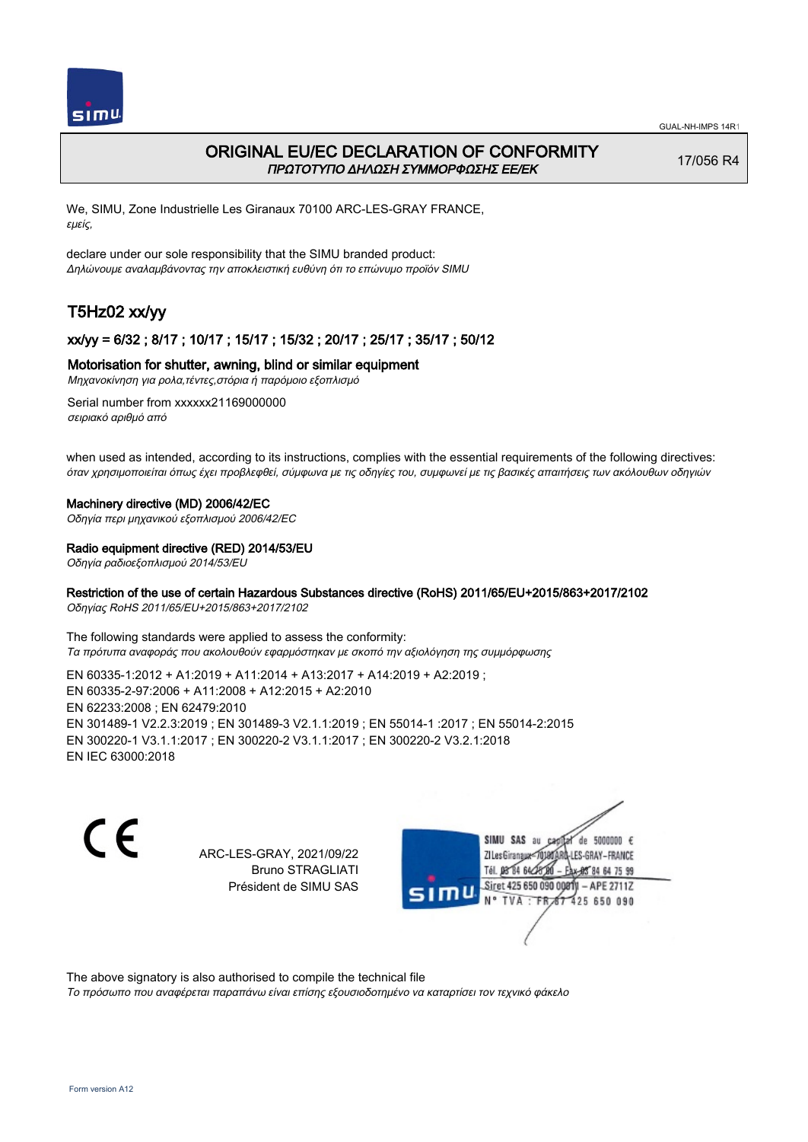

## ORIGINAL EU/EC DECLARATION OF CONFORMITY ΠΡΩΤΟΤΥΠΟ ΔΗΛΩΣΗ ΣΥΜΜΟΡΦΩΣΗΣ ΕΕ/EK

17/056 R4

We, SIMU, Zone Industrielle Les Giranaux 70100 ARC-LES-GRAY FRANCE, εμείς,

declare under our sole responsibility that the SIMU branded product: Δηλώνουμε αναλαμβάνοντας την αποκλειστική ευθύνη ότι το επώνυμο προϊόν SIMU

# T5Hz02 xx/yy

## xx/yy = 6/32 ; 8/17 ; 10/17 ; 15/17 ; 15/32 ; 20/17 ; 25/17 ; 35/17 ; 50/12

## Motorisation for shutter, awning, blind or similar equipment

Μηχανοκίνηση για ρολα,τέντες,στόρια ή παρόμοιο εξοπλισμό

Serial number from xxxxxx21169000000 σειριακό αριθμό από

when used as intended, according to its instructions, complies with the essential requirements of the following directives: όταν χρησιμοποιείται όπως έχει προβλεφθεί, σύμφωνα με τις οδηγίες του, συμφωνεί με τις βασικές απαιτήσεις των ακόλουθων οδηγιών

#### Machinery directive (MD) 2006/42/EC

Οδηγία περι μηχανικού εξοπλισμού 2006/42/EC

### Radio equipment directive (RED) 2014/53/EU

Οδηγία ραδιοεξοπλισμού 2014/53/EU

## Restriction of the use of certain Hazardous Substances directive (RoHS) 2011/65/EU+2015/863+2017/2102

Οδηγίας RoHS 2011/65/EU+2015/863+2017/2102

The following standards were applied to assess the conformity: Τα πρότυπα αναφοράς που ακολουθούν εφαρμόστηκαν με σκοπό την αξιολόγηση της συμμόρφωσης

EN 60335‑1:2012 + A1:2019 + A11:2014 + A13:2017 + A14:2019 + A2:2019 ; EN 60335‑2‑97:2006 + A11:2008 + A12:2015 + A2:2010 EN 62233:2008 ; EN 62479:2010 EN 301489‑1 V2.2.3:2019 ; EN 301489‑3 V2.1.1:2019 ; EN 55014‑1 :2017 ; EN 55014‑2:2015 EN 300220‑1 V3.1.1:2017 ; EN 300220‑2 V3.1.1:2017 ; EN 300220‑2 V3.2.1:2018 EN IEC 63000:2018

C F

ARC-LES-GRAY, 2021/09/22 Bruno STRAGLIATI Président de SIMU SAS



The above signatory is also authorised to compile the technical file

Το πρόσωπο που αναφέρεται παραπάνω είναι επίσης εξουσιοδοτημένο να καταρτίσει τον τεχνικό φάκελο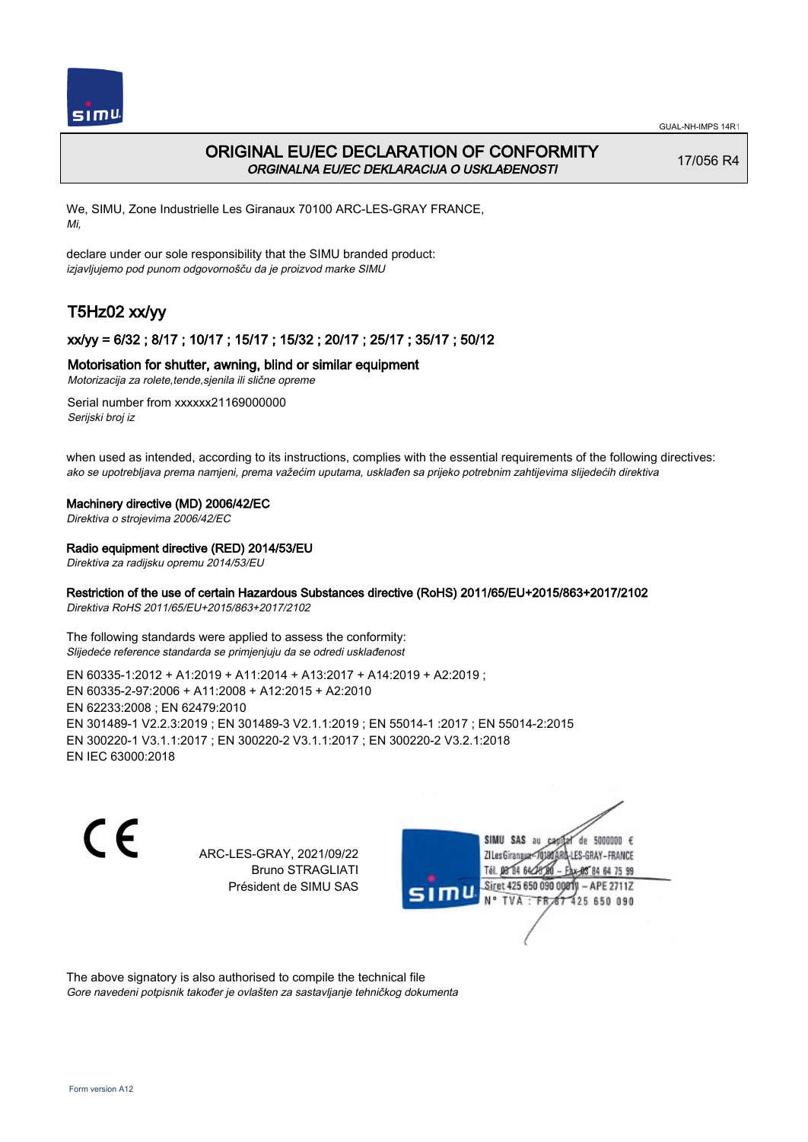

## ORIGINAL EU/EC DECLARATION OF CONFORMITY ORGINALNA EU/EC DEKLARACIJA O USKLAĐENOSTI

17/056 R4

We, SIMU, Zone Industrielle Les Giranaux 70100 ARC-LES-GRAY FRANCE, Mi,

declare under our sole responsibility that the SIMU branded product: izjavljujemo pod punom odgovornošču da je proizvod marke SIMU

# T5Hz02 xx/yy

## xx/yy = 6/32 ; 8/17 ; 10/17 ; 15/17 ; 15/32 ; 20/17 ; 25/17 ; 35/17 ; 50/12

## Motorisation for shutter, awning, blind or similar equipment

Motorizacija za rolete,tende,sjenila ili slične opreme

Serial number from xxxxxx21169000000 Serijski broj iz

when used as intended, according to its instructions, complies with the essential requirements of the following directives: ako se upotrebljava prema namjeni, prema važećim uputama, usklađen sa prijeko potrebnim zahtijevima slijedećih direktiva

### Machinery directive (MD) 2006/42/EC

Direktiva o strojevima 2006/42/EC

## Radio equipment directive (RED) 2014/53/EU

Direktiva za radijsku opremu 2014/53/EU

## Restriction of the use of certain Hazardous Substances directive (RoHS) 2011/65/EU+2015/863+2017/2102

Direktiva RoHS 2011/65/EU+2015/863+2017/2102

The following standards were applied to assess the conformity: Slijedeće reference standarda se primjenjuju da se odredi usklađenost

EN 60335‑1:2012 + A1:2019 + A11:2014 + A13:2017 + A14:2019 + A2:2019 ; EN 60335‑2‑97:2006 + A11:2008 + A12:2015 + A2:2010 EN 62233:2008 ; EN 62479:2010 EN 301489‑1 V2.2.3:2019 ; EN 301489‑3 V2.1.1:2019 ; EN 55014‑1 :2017 ; EN 55014‑2:2015 EN 300220‑1 V3.1.1:2017 ; EN 300220‑2 V3.1.1:2017 ; EN 300220‑2 V3.2.1:2018 EN IEC 63000:2018

 $\epsilon$ 

ARC-LES-GRAY, 2021/09/22 Bruno STRAGLIATI Président de SIMU SAS



The above signatory is also authorised to compile the technical file Gore navedeni potpisnik također je ovlašten za sastavljanje tehničkog dokumenta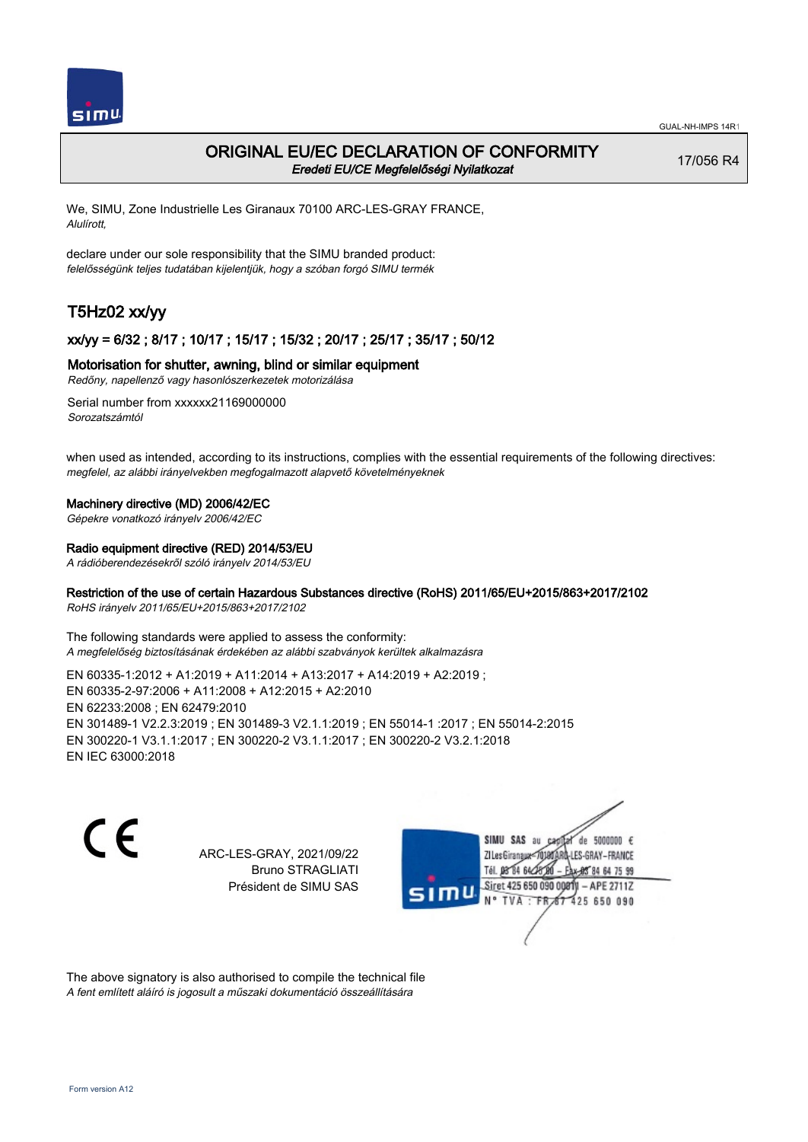

## ORIGINAL EU/EC DECLARATION OF CONFORMITY Eredeti EU/CE Megfelelőségi Nyilatkozat

17/056 R4

We, SIMU, Zone Industrielle Les Giranaux 70100 ARC-LES-GRAY FRANCE, Alulírott,

declare under our sole responsibility that the SIMU branded product: felelősségünk teljes tudatában kijelentjük, hogy a szóban forgó SIMU termék

# T5Hz02 xx/yy

## xx/yy = 6/32 ; 8/17 ; 10/17 ; 15/17 ; 15/32 ; 20/17 ; 25/17 ; 35/17 ; 50/12

## Motorisation for shutter, awning, blind or similar equipment

Redőny, napellenző vagy hasonlószerkezetek motorizálása

Serial number from xxxxxx21169000000 Sorozatszámtól

when used as intended, according to its instructions, complies with the essential requirements of the following directives: megfelel, az alábbi irányelvekben megfogalmazott alapvető követelményeknek

#### Machinery directive (MD) 2006/42/EC

Gépekre vonatkozó irányelv 2006/42/EC

#### Radio equipment directive (RED) 2014/53/EU

A rádióberendezésekről szóló irányelv 2014/53/EU

## Restriction of the use of certain Hazardous Substances directive (RoHS) 2011/65/EU+2015/863+2017/2102

RoHS irányelv 2011/65/EU+2015/863+2017/2102

The following standards were applied to assess the conformity: A megfelelőség biztosításának érdekében az alábbi szabványok kerültek alkalmazásra

EN 60335‑1:2012 + A1:2019 + A11:2014 + A13:2017 + A14:2019 + A2:2019 ; EN 60335‑2‑97:2006 + A11:2008 + A12:2015 + A2:2010 EN 62233:2008 ; EN 62479:2010 EN 301489‑1 V2.2.3:2019 ; EN 301489‑3 V2.1.1:2019 ; EN 55014‑1 :2017 ; EN 55014‑2:2015 EN 300220‑1 V3.1.1:2017 ; EN 300220‑2 V3.1.1:2017 ; EN 300220‑2 V3.2.1:2018 EN IEC 63000:2018

 $\epsilon$ 

ARC-LES-GRAY, 2021/09/22 Bruno STRAGLIATI Président de SIMU SAS



The above signatory is also authorised to compile the technical file A fent említett aláíró is jogosult a műszaki dokumentáció összeállítására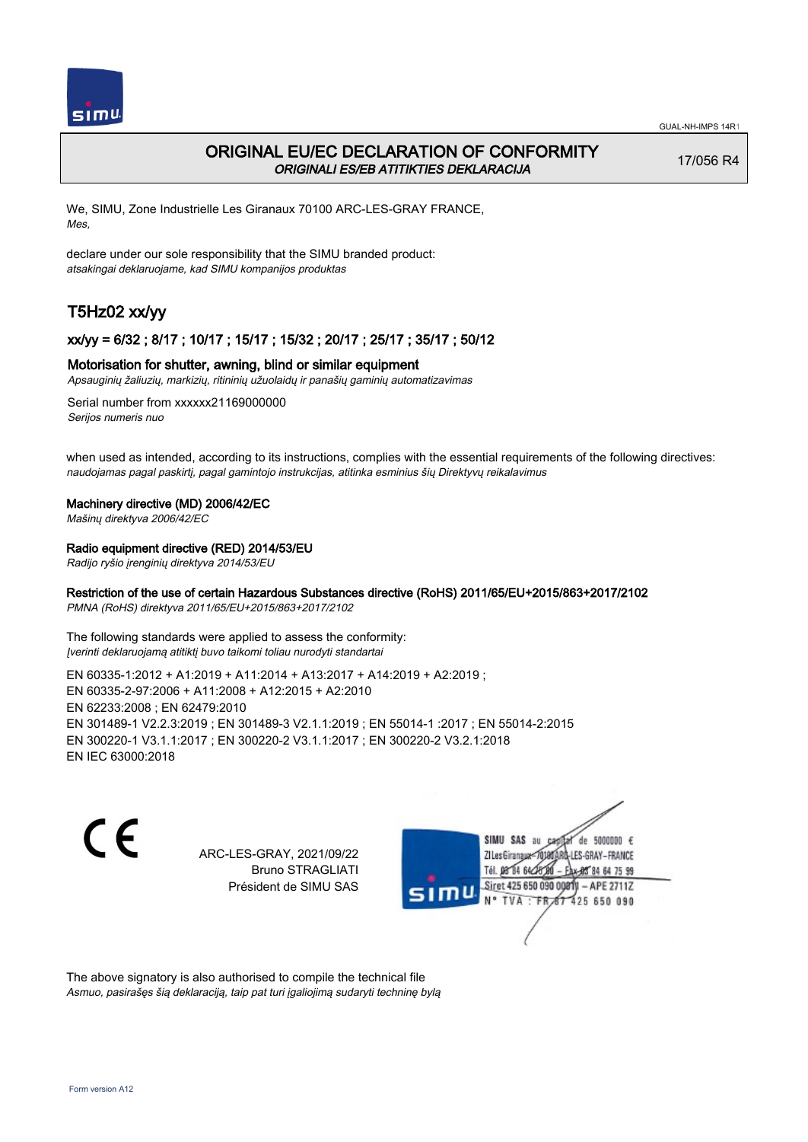

## ORIGINAL EU/EC DECLARATION OF CONFORMITY ORIGINALI ES/EB ATITIKTIES DEKLARACIJA

17/056 R4

We, SIMU, Zone Industrielle Les Giranaux 70100 ARC-LES-GRAY FRANCE, Mes,

declare under our sole responsibility that the SIMU branded product: atsakingai deklaruojame, kad SIMU kompanijos produktas

# T5Hz02 xx/yy

## xx/yy = 6/32 ; 8/17 ; 10/17 ; 15/17 ; 15/32 ; 20/17 ; 25/17 ; 35/17 ; 50/12

## Motorisation for shutter, awning, blind or similar equipment

Apsauginių žaliuzių, markizių, ritininių užuolaidų ir panašių gaminių automatizavimas

Serial number from xxxxxx21169000000 Serijos numeris nuo

when used as intended, according to its instructions, complies with the essential requirements of the following directives: naudojamas pagal paskirtį, pagal gamintojo instrukcijas, atitinka esminius šių Direktyvų reikalavimus

### Machinery directive (MD) 2006/42/EC

Mašinų direktyva 2006/42/EC

### Radio equipment directive (RED) 2014/53/EU

Radijo ryšio įrenginių direktyva 2014/53/EU

## Restriction of the use of certain Hazardous Substances directive (RoHS) 2011/65/EU+2015/863+2017/2102

PMNA (RoHS) direktyva 2011/65/EU+2015/863+2017/2102

The following standards were applied to assess the conformity: Įverinti deklaruojamą atitiktį buvo taikomi toliau nurodyti standartai

EN 60335‑1:2012 + A1:2019 + A11:2014 + A13:2017 + A14:2019 + A2:2019 ; EN 60335‑2‑97:2006 + A11:2008 + A12:2015 + A2:2010 EN 62233:2008 ; EN 62479:2010 EN 301489‑1 V2.2.3:2019 ; EN 301489‑3 V2.1.1:2019 ; EN 55014‑1 :2017 ; EN 55014‑2:2015 EN 300220‑1 V3.1.1:2017 ; EN 300220‑2 V3.1.1:2017 ; EN 300220‑2 V3.2.1:2018 EN IEC 63000:2018

C F

ARC-LES-GRAY, 2021/09/22 Bruno STRAGLIATI Président de SIMU SAS



The above signatory is also authorised to compile the technical file Asmuo, pasirašęs šią deklaraciją, taip pat turi įgaliojimą sudaryti techninę bylą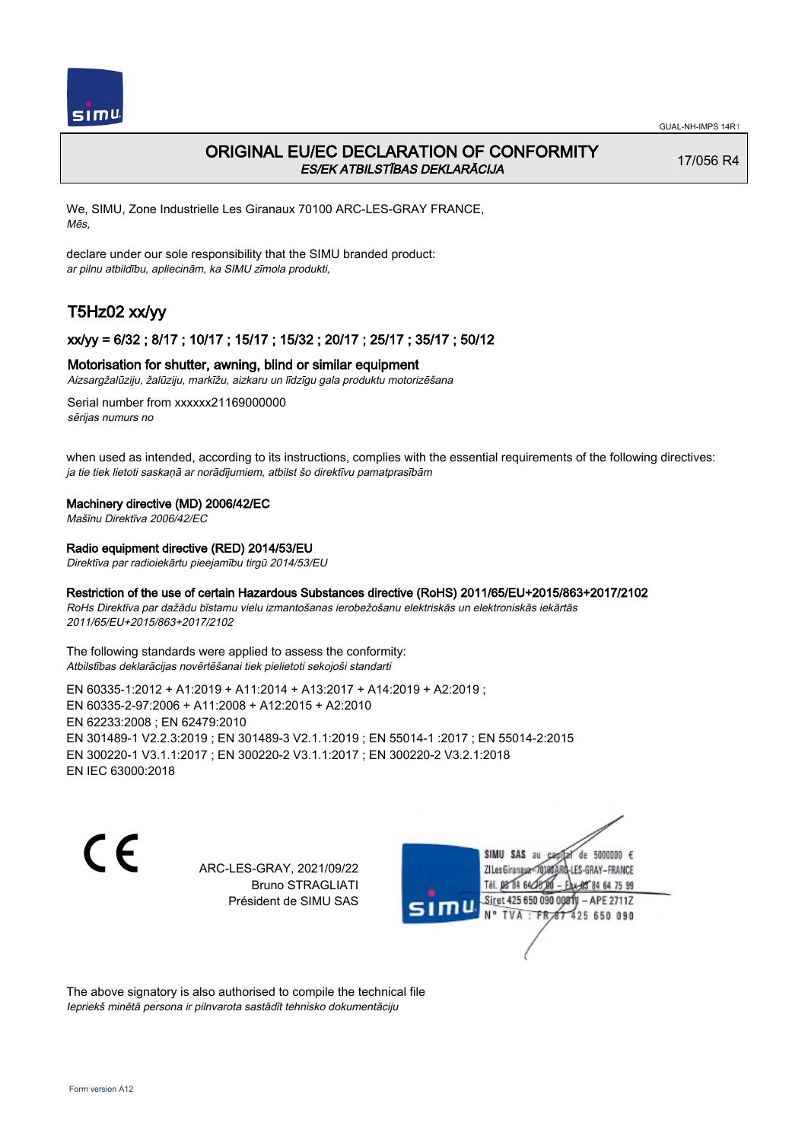

## ORIGINAL EU/EC DECLARATION OF CONFORMITY ES/EK ATBILSTĪBAS DEKLARĀCIJA

17/056 R4

We, SIMU, Zone Industrielle Les Giranaux 70100 ARC-LES-GRAY FRANCE, Mēs,

declare under our sole responsibility that the SIMU branded product: ar pilnu atbildību, apliecinām, ka SIMU zīmola produkti,

# T5Hz02 xx/yy

## xx/yy = 6/32 ; 8/17 ; 10/17 ; 15/17 ; 15/32 ; 20/17 ; 25/17 ; 35/17 ; 50/12

### Motorisation for shutter, awning, blind or similar equipment

Aizsargžalūziju, žalūziju, markīžu, aizkaru un līdzīgu gala produktu motorizēšana

Serial number from xxxxxx21169000000 sērijas numurs no

when used as intended, according to its instructions, complies with the essential requirements of the following directives: ja tie tiek lietoti saskaņā ar norādījumiem, atbilst šo direktīvu pamatprasībām

### Machinery directive (MD) 2006/42/EC

Mašīnu Direktīva 2006/42/EC

## Radio equipment directive (RED) 2014/53/EU

Direktīva par radioiekārtu pieejamību tirgū 2014/53/EU

### Restriction of the use of certain Hazardous Substances directive (RoHS) 2011/65/EU+2015/863+2017/2102

RoHs Direktīva par dažādu bīstamu vielu izmantošanas ierobežošanu elektriskās un elektroniskās iekārtās 2011/65/EU+2015/863+2017/2102

The following standards were applied to assess the conformity: Atbilstības deklarācijas novērtēšanai tiek pielietoti sekojoši standarti

EN 60335‑1:2012 + A1:2019 + A11:2014 + A13:2017 + A14:2019 + A2:2019 ; EN 60335‑2‑97:2006 + A11:2008 + A12:2015 + A2:2010 EN 62233:2008 ; EN 62479:2010 EN 301489‑1 V2.2.3:2019 ; EN 301489‑3 V2.1.1:2019 ; EN 55014‑1 :2017 ; EN 55014‑2:2015 EN 300220‑1 V3.1.1:2017 ; EN 300220‑2 V3.1.1:2017 ; EN 300220‑2 V3.2.1:2018 EN IEC 63000:2018

C E

ARC-LES-GRAY, 2021/09/22 Bruno STRAGLIATI Président de SIMU SAS

SIMU SAS au de 5000000  $\epsilon$ ZI Les Giranaux</DJ80 LES-GRAY-FRANCE Tél. 08 84 64 28 64 75 99 Siret 425 650 090 008TV - APE 2711Z  $TVA : FRAT$ 425 650 090

The above signatory is also authorised to compile the technical file Iepriekš minētā persona ir pilnvarota sastādīt tehnisko dokumentāciju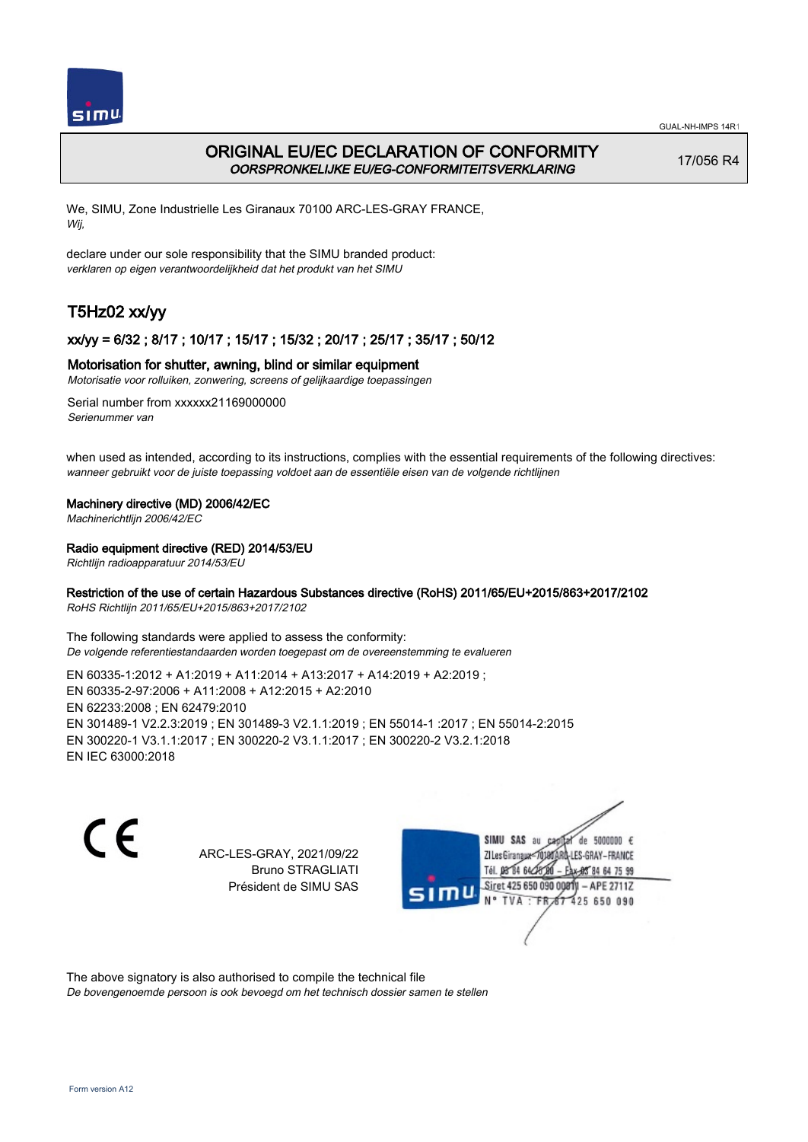

## ORIGINAL EU/EC DECLARATION OF CONFORMITY OORSPRONKELIJKE EU/EG-CONFORMITEITSVERKLARING

17/056 R4

We, SIMU, Zone Industrielle Les Giranaux 70100 ARC-LES-GRAY FRANCE, Wij,

declare under our sole responsibility that the SIMU branded product: verklaren op eigen verantwoordelijkheid dat het produkt van het SIMU

# T5Hz02 xx/yy

## xx/yy = 6/32 ; 8/17 ; 10/17 ; 15/17 ; 15/32 ; 20/17 ; 25/17 ; 35/17 ; 50/12

## Motorisation for shutter, awning, blind or similar equipment

Motorisatie voor rolluiken, zonwering, screens of gelijkaardige toepassingen

Serial number from xxxxxx21169000000 Serienummer van

when used as intended, according to its instructions, complies with the essential requirements of the following directives: wanneer gebruikt voor de juiste toepassing voldoet aan de essentiële eisen van de volgende richtlijnen

## Machinery directive (MD) 2006/42/EC

Machinerichtlijn 2006/42/EC

## Radio equipment directive (RED) 2014/53/EU

Richtlijn radioapparatuur 2014/53/EU

## Restriction of the use of certain Hazardous Substances directive (RoHS) 2011/65/EU+2015/863+2017/2102

RoHS Richtlijn 2011/65/EU+2015/863+2017/2102

The following standards were applied to assess the conformity: De volgende referentiestandaarden worden toegepast om de overeenstemming te evalueren

EN 60335‑1:2012 + A1:2019 + A11:2014 + A13:2017 + A14:2019 + A2:2019 ; EN 60335‑2‑97:2006 + A11:2008 + A12:2015 + A2:2010 EN 62233:2008 ; EN 62479:2010 EN 301489‑1 V2.2.3:2019 ; EN 301489‑3 V2.1.1:2019 ; EN 55014‑1 :2017 ; EN 55014‑2:2015 EN 300220‑1 V3.1.1:2017 ; EN 300220‑2 V3.1.1:2017 ; EN 300220‑2 V3.2.1:2018 EN IEC 63000:2018

 $\epsilon$ 

ARC-LES-GRAY, 2021/09/22 Bruno STRAGLIATI Président de SIMU SAS



The above signatory is also authorised to compile the technical file

De bovengenoemde persoon is ook bevoegd om het technisch dossier samen te stellen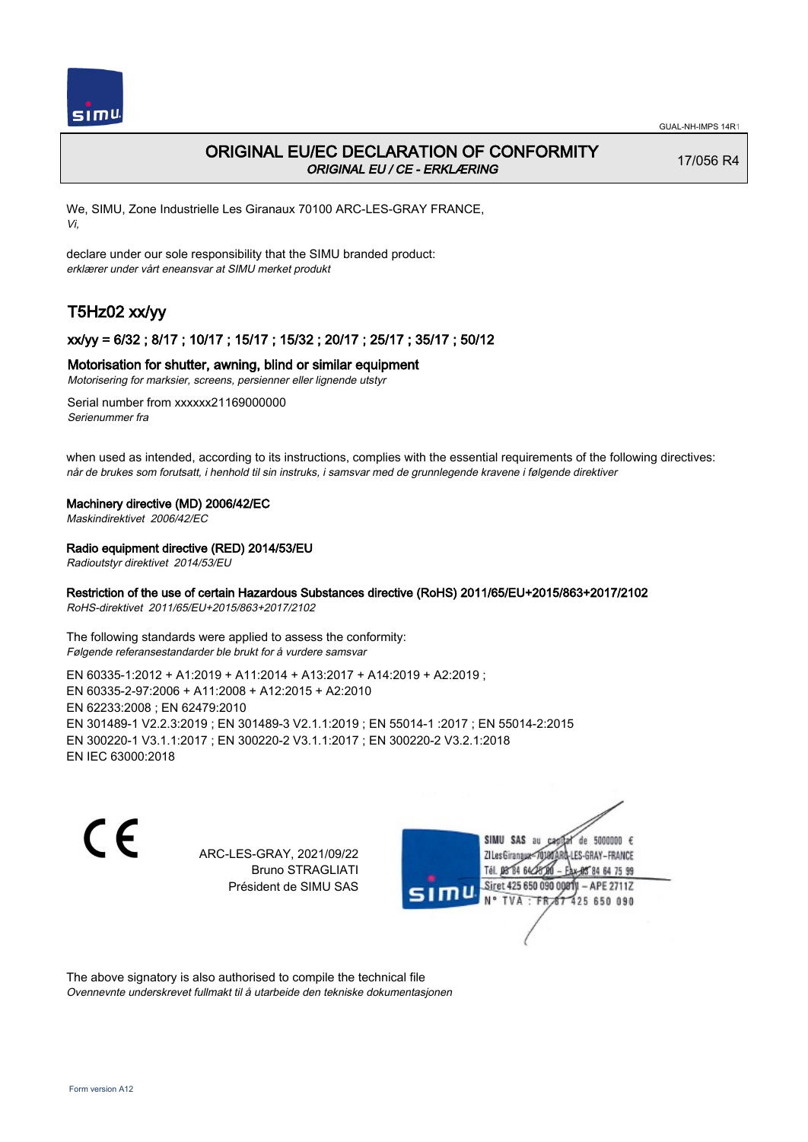

## ORIGINAL EU/EC DECLARATION OF CONFORMITY ORIGINAL EU / CE - ERKLÆRING

17/056 R4

We, SIMU, Zone Industrielle Les Giranaux 70100 ARC-LES-GRAY FRANCE, Vi,

declare under our sole responsibility that the SIMU branded product: erklærer under vårt eneansvar at SIMU merket produkt

# T5Hz02 xx/yy

## xx/yy = 6/32 ; 8/17 ; 10/17 ; 15/17 ; 15/32 ; 20/17 ; 25/17 ; 35/17 ; 50/12

### Motorisation for shutter, awning, blind or similar equipment

Motorisering for marksier, screens, persienner eller lignende utstyr

Serial number from xxxxxx21169000000 Serienummer fra

when used as intended, according to its instructions, complies with the essential requirements of the following directives: når de brukes som forutsatt, i henhold til sin instruks, i samsvar med de grunnlegende kravene i følgende direktiver

### Machinery directive (MD) 2006/42/EC

Maskindirektivet 2006/42/EC

## Radio equipment directive (RED) 2014/53/EU

Radioutstyr direktivet 2014/53/EU

## Restriction of the use of certain Hazardous Substances directive (RoHS) 2011/65/EU+2015/863+2017/2102

RoHS-direktivet 2011/65/EU+2015/863+2017/2102

The following standards were applied to assess the conformity: Følgende referansestandarder ble brukt for å vurdere samsvar

EN 60335‑1:2012 + A1:2019 + A11:2014 + A13:2017 + A14:2019 + A2:2019 ; EN 60335‑2‑97:2006 + A11:2008 + A12:2015 + A2:2010 EN 62233:2008 ; EN 62479:2010 EN 301489‑1 V2.2.3:2019 ; EN 301489‑3 V2.1.1:2019 ; EN 55014‑1 :2017 ; EN 55014‑2:2015 EN 300220‑1 V3.1.1:2017 ; EN 300220‑2 V3.1.1:2017 ; EN 300220‑2 V3.2.1:2018 EN IEC 63000:2018

 $\epsilon$ 

ARC-LES-GRAY, 2021/09/22 Bruno STRAGLIATI Président de SIMU SAS



The above signatory is also authorised to compile the technical file Ovennevnte underskrevet fullmakt til å utarbeide den tekniske dokumentasjonen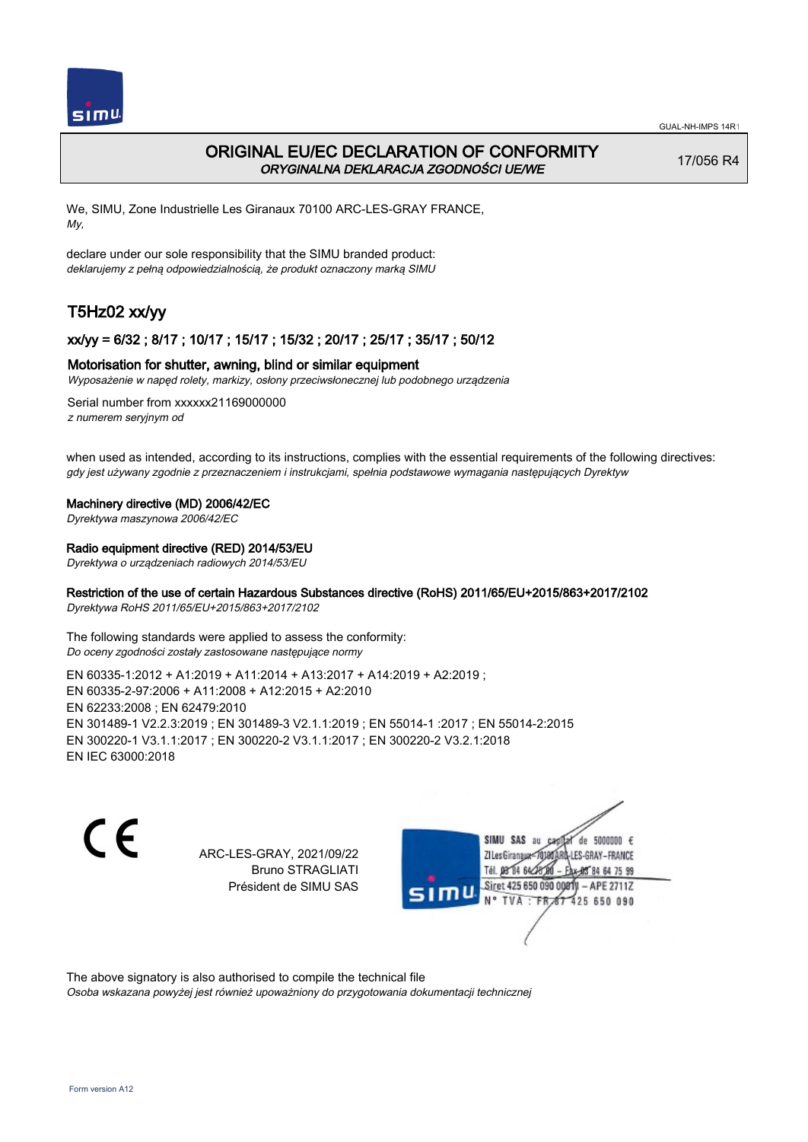

## ORIGINAL EU/EC DECLARATION OF CONFORMITY ORYGINALNA DEKLARACJA ZGODNOŚCI UE/WE

17/056 R4

We, SIMU, Zone Industrielle Les Giranaux 70100 ARC-LES-GRAY FRANCE, My,

declare under our sole responsibility that the SIMU branded product: deklarujemy z pełną odpowiedzialnością, że produkt oznaczony marką SIMU

# T5Hz02 xx/yy

## xx/yy = 6/32 ; 8/17 ; 10/17 ; 15/17 ; 15/32 ; 20/17 ; 25/17 ; 35/17 ; 50/12

## Motorisation for shutter, awning, blind or similar equipment

Wyposażenie w napęd rolety, markizy, osłony przeciwsłonecznej lub podobnego urządzenia

Serial number from xxxxxx21169000000 z numerem seryjnym od

when used as intended, according to its instructions, complies with the essential requirements of the following directives: gdy jest używany zgodnie z przeznaczeniem i instrukcjami, spełnia podstawowe wymagania następujących Dyrektyw

#### Machinery directive (MD) 2006/42/EC

Dyrektywa maszynowa 2006/42/EC

### Radio equipment directive (RED) 2014/53/EU

Dyrektywa o urządzeniach radiowych 2014/53/EU

## Restriction of the use of certain Hazardous Substances directive (RoHS) 2011/65/EU+2015/863+2017/2102

Dyrektywa RoHS 2011/65/EU+2015/863+2017/2102

The following standards were applied to assess the conformity: Do oceny zgodności zostały zastosowane następujące normy

EN 60335‑1:2012 + A1:2019 + A11:2014 + A13:2017 + A14:2019 + A2:2019 ; EN 60335‑2‑97:2006 + A11:2008 + A12:2015 + A2:2010 EN 62233:2008 ; EN 62479:2010 EN 301489‑1 V2.2.3:2019 ; EN 301489‑3 V2.1.1:2019 ; EN 55014‑1 :2017 ; EN 55014‑2:2015 EN 300220‑1 V3.1.1:2017 ; EN 300220‑2 V3.1.1:2017 ; EN 300220‑2 V3.2.1:2018 EN IEC 63000:2018

C F

ARC-LES-GRAY, 2021/09/22 Bruno STRAGLIATI Président de SIMU SAS



The above signatory is also authorised to compile the technical file

Osoba wskazana powyżej jest również upoważniony do przygotowania dokumentacji technicznej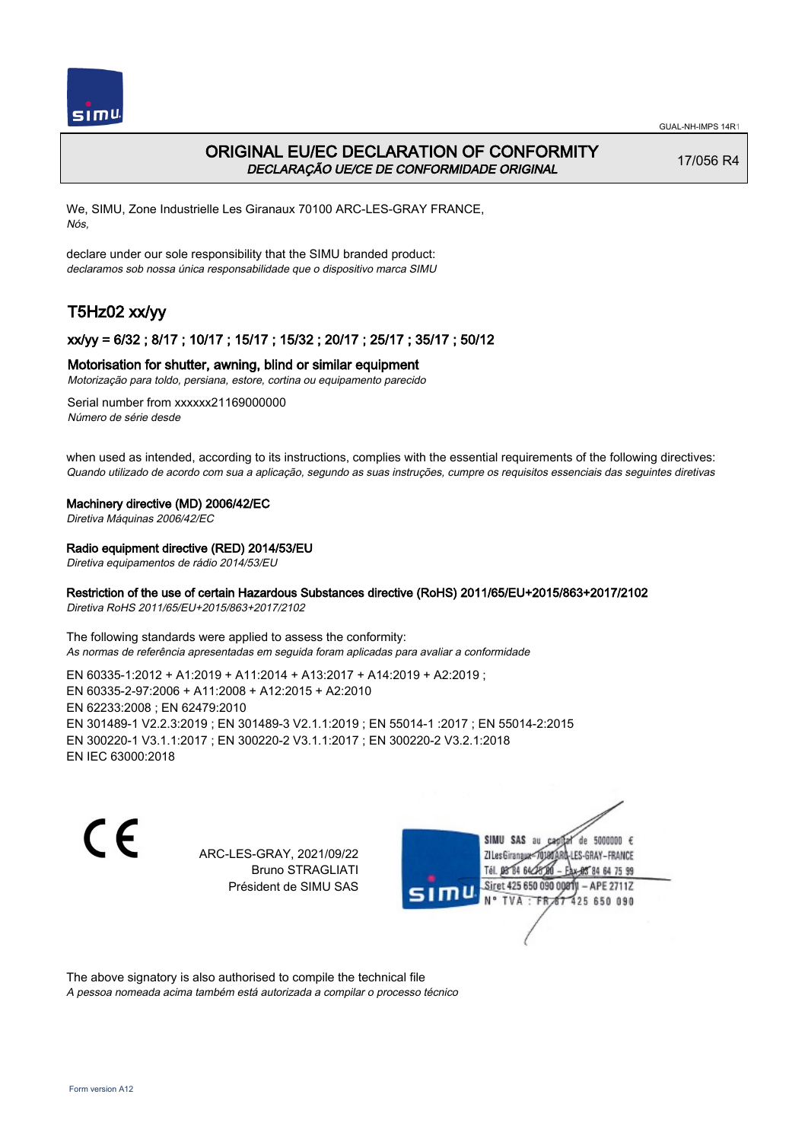

## ORIGINAL EU/EC DECLARATION OF CONFORMITY DECLARAÇÃO UE/CE DE CONFORMIDADE ORIGINAL

17/056 R4

We, SIMU, Zone Industrielle Les Giranaux 70100 ARC-LES-GRAY FRANCE, Nós,

declare under our sole responsibility that the SIMU branded product: declaramos sob nossa única responsabilidade que o dispositivo marca SIMU

# T5Hz02 xx/yy

## xx/yy = 6/32 ; 8/17 ; 10/17 ; 15/17 ; 15/32 ; 20/17 ; 25/17 ; 35/17 ; 50/12

## Motorisation for shutter, awning, blind or similar equipment

Motorização para toldo, persiana, estore, cortina ou equipamento parecido

Serial number from xxxxxx21169000000 Número de série desde

when used as intended, according to its instructions, complies with the essential requirements of the following directives: Quando utilizado de acordo com sua a aplicação, segundo as suas instruções, cumpre os requisitos essenciais das seguintes diretivas

### Machinery directive (MD) 2006/42/EC

Diretiva Máquinas 2006/42/EC

## Radio equipment directive (RED) 2014/53/EU

Diretiva equipamentos de rádio 2014/53/EU

## Restriction of the use of certain Hazardous Substances directive (RoHS) 2011/65/EU+2015/863+2017/2102

Diretiva RoHS 2011/65/EU+2015/863+2017/2102

The following standards were applied to assess the conformity: As normas de referência apresentadas em seguida foram aplicadas para avaliar a conformidade

EN 60335‑1:2012 + A1:2019 + A11:2014 + A13:2017 + A14:2019 + A2:2019 ; EN 60335‑2‑97:2006 + A11:2008 + A12:2015 + A2:2010 EN 62233:2008 ; EN 62479:2010 EN 301489‑1 V2.2.3:2019 ; EN 301489‑3 V2.1.1:2019 ; EN 55014‑1 :2017 ; EN 55014‑2:2015 EN 300220‑1 V3.1.1:2017 ; EN 300220‑2 V3.1.1:2017 ; EN 300220‑2 V3.2.1:2018 EN IEC 63000:2018

 $\epsilon$ 

ARC-LES-GRAY, 2021/09/22 Bruno STRAGLIATI Président de SIMU SAS



The above signatory is also authorised to compile the technical file

A pessoa nomeada acima também está autorizada a compilar o processo técnico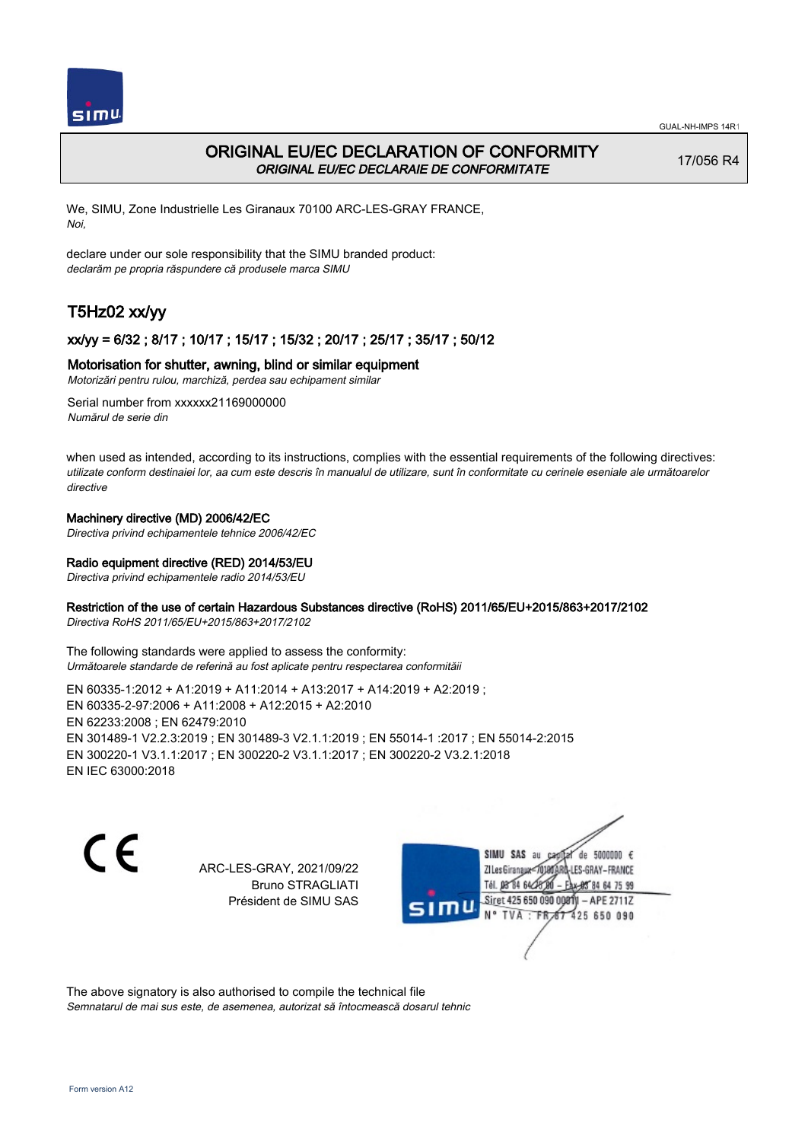

## ORIGINAL EU/EC DECLARATION OF CONFORMITY ORIGINAL EU/EC DECLARAIE DE CONFORMITATE

17/056 R4

We, SIMU, Zone Industrielle Les Giranaux 70100 ARC-LES-GRAY FRANCE, Noi,

declare under our sole responsibility that the SIMU branded product: declarăm pe propria răspundere că produsele marca SIMU

# T5Hz02 xx/yy

## xx/yy = 6/32 ; 8/17 ; 10/17 ; 15/17 ; 15/32 ; 20/17 ; 25/17 ; 35/17 ; 50/12

## Motorisation for shutter, awning, blind or similar equipment

Motorizări pentru rulou, marchiză, perdea sau echipament similar

Serial number from xxxxxx21169000000 Numărul de serie din

when used as intended, according to its instructions, complies with the essential requirements of the following directives: utilizate conform destinaiei lor, aa cum este descris în manualul de utilizare, sunt în conformitate cu cerinele eseniale ale următoarelor directive

## Machinery directive (MD) 2006/42/EC

Directiva privind echipamentele tehnice 2006/42/EC

## Radio equipment directive (RED) 2014/53/EU

Directiva privind echipamentele radio 2014/53/EU

## Restriction of the use of certain Hazardous Substances directive (RoHS) 2011/65/EU+2015/863+2017/2102

Directiva RoHS 2011/65/EU+2015/863+2017/2102

The following standards were applied to assess the conformity: Următoarele standarde de referină au fost aplicate pentru respectarea conformităii

EN 60335‑1:2012 + A1:2019 + A11:2014 + A13:2017 + A14:2019 + A2:2019 ; EN 60335‑2‑97:2006 + A11:2008 + A12:2015 + A2:2010 EN 62233:2008 ; EN 62479:2010 EN 301489‑1 V2.2.3:2019 ; EN 301489‑3 V2.1.1:2019 ; EN 55014‑1 :2017 ; EN 55014‑2:2015 EN 300220‑1 V3.1.1:2017 ; EN 300220‑2 V3.1.1:2017 ; EN 300220‑2 V3.2.1:2018 EN IEC 63000:2018

C E

ARC-LES-GRAY, 2021/09/22 Bruno STRAGLIATI Président de SIMU SAS

SIMU SAS au de 5000000  $\epsilon$ ZI Les Giranaux-70180 LES-GRAY-FRANCE Tél. 08 84 64 24 64 75 99 Siret 425 650 090 008TV - APE 2711Z 425 650 090 TVA: FR

The above signatory is also authorised to compile the technical file Semnatarul de mai sus este, de asemenea, autorizat să întocmească dosarul tehnic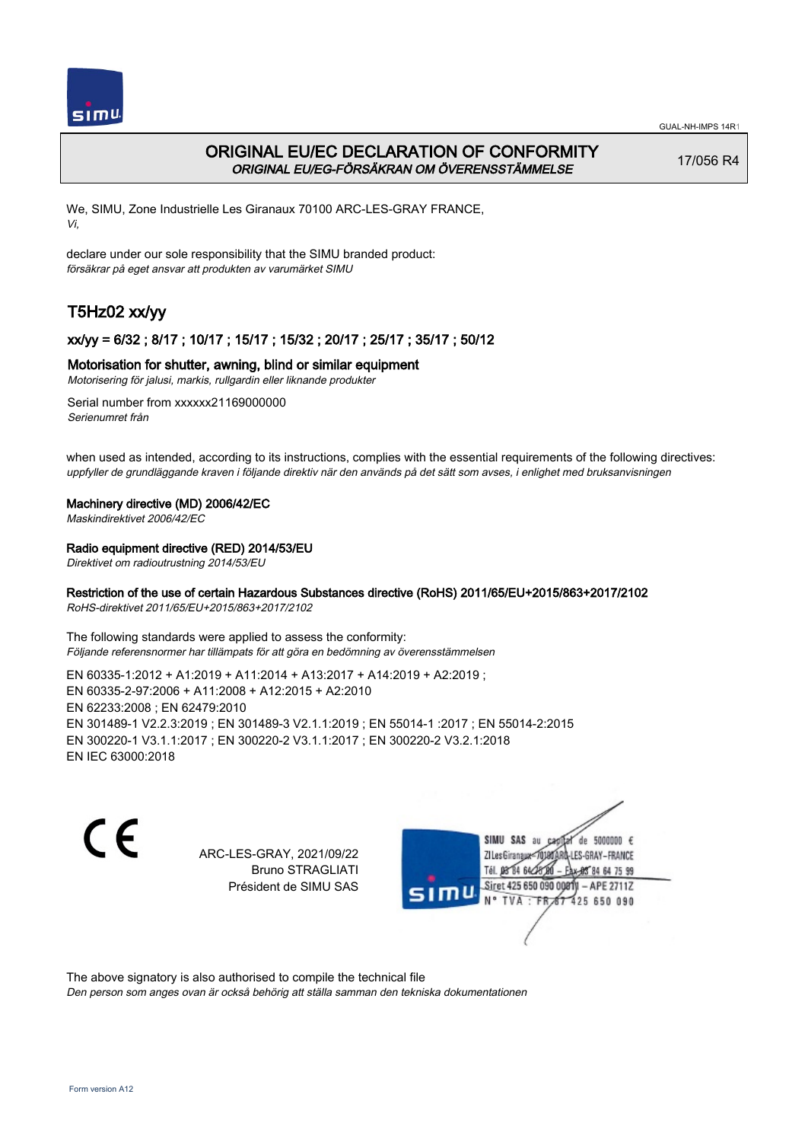

## ORIGINAL EU/EC DECLARATION OF CONFORMITY ORIGINAL EU/EG-FÖRSÄKRAN OM ÖVERENSSTÄMMELSE

17/056 R4

We, SIMU, Zone Industrielle Les Giranaux 70100 ARC-LES-GRAY FRANCE, Vi,

declare under our sole responsibility that the SIMU branded product: försäkrar på eget ansvar att produkten av varumärket SIMU

# T5Hz02 xx/yy

## xx/yy = 6/32 ; 8/17 ; 10/17 ; 15/17 ; 15/32 ; 20/17 ; 25/17 ; 35/17 ; 50/12

## Motorisation for shutter, awning, blind or similar equipment

Motorisering för jalusi, markis, rullgardin eller liknande produkter

Serial number from xxxxxx21169000000 Serienumret från

when used as intended, according to its instructions, complies with the essential requirements of the following directives: uppfyller de grundläggande kraven i följande direktiv när den används på det sätt som avses, i enlighet med bruksanvisningen

## Machinery directive (MD) 2006/42/EC

Maskindirektivet 2006/42/EC

## Radio equipment directive (RED) 2014/53/EU

Direktivet om radioutrustning 2014/53/EU

## Restriction of the use of certain Hazardous Substances directive (RoHS) 2011/65/EU+2015/863+2017/2102

RoHS-direktivet 2011/65/EU+2015/863+2017/2102

The following standards were applied to assess the conformity: Följande referensnormer har tillämpats för att göra en bedömning av överensstämmelsen

EN 60335‑1:2012 + A1:2019 + A11:2014 + A13:2017 + A14:2019 + A2:2019 ; EN 60335‑2‑97:2006 + A11:2008 + A12:2015 + A2:2010 EN 62233:2008 ; EN 62479:2010 EN 301489‑1 V2.2.3:2019 ; EN 301489‑3 V2.1.1:2019 ; EN 55014‑1 :2017 ; EN 55014‑2:2015 EN 300220‑1 V3.1.1:2017 ; EN 300220‑2 V3.1.1:2017 ; EN 300220‑2 V3.2.1:2018 EN IEC 63000:2018

 $\epsilon$ 

ARC-LES-GRAY, 2021/09/22 Bruno STRAGLIATI Président de SIMU SAS



The above signatory is also authorised to compile the technical file

Den person som anges ovan är också behörig att ställa samman den tekniska dokumentationen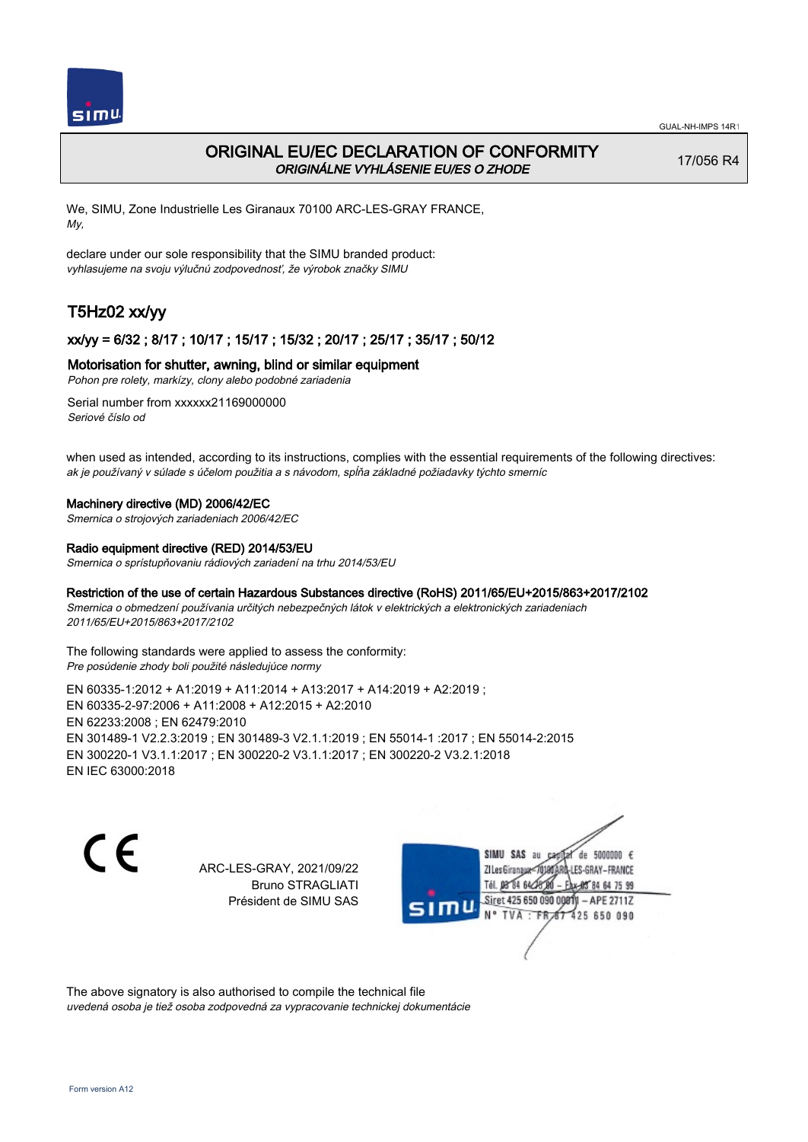

## ORIGINAL EU/EC DECLARATION OF CONFORMITY ORIGINÁLNE VYHLÁSENIE EU/ES O ZHODE

17/056 R4

We, SIMU, Zone Industrielle Les Giranaux 70100 ARC-LES-GRAY FRANCE, My,

declare under our sole responsibility that the SIMU branded product: vyhlasujeme na svoju výlučnú zodpovednosť, že výrobok značky SIMU

# T5Hz02 xx/yy

## xx/yy = 6/32 ; 8/17 ; 10/17 ; 15/17 ; 15/32 ; 20/17 ; 25/17 ; 35/17 ; 50/12

## Motorisation for shutter, awning, blind or similar equipment

Pohon pre rolety, markízy, clony alebo podobné zariadenia

Serial number from xxxxxx21169000000 Seriové číslo od

when used as intended, according to its instructions, complies with the essential requirements of the following directives: ak je používaný v súlade s účelom použitia a s návodom, spĺňa základné požiadavky týchto smerníc

### Machinery directive (MD) 2006/42/EC

Smernica o strojových zariadeniach 2006/42/EC

### Radio equipment directive (RED) 2014/53/EU

Smernica o sprístupňovaniu rádiových zariadení na trhu 2014/53/EU

### Restriction of the use of certain Hazardous Substances directive (RoHS) 2011/65/EU+2015/863+2017/2102

Smernica o obmedzení používania určitých nebezpečných látok v elektrických a elektronických zariadeniach 2011/65/EU+2015/863+2017/2102

The following standards were applied to assess the conformity: Pre posúdenie zhody boli použité následujúce normy

EN 60335‑1:2012 + A1:2019 + A11:2014 + A13:2017 + A14:2019 + A2:2019 ; EN 60335‑2‑97:2006 + A11:2008 + A12:2015 + A2:2010 EN 62233:2008 ; EN 62479:2010 EN 301489‑1 V2.2.3:2019 ; EN 301489‑3 V2.1.1:2019 ; EN 55014‑1 :2017 ; EN 55014‑2:2015 EN 300220‑1 V3.1.1:2017 ; EN 300220‑2 V3.1.1:2017 ; EN 300220‑2 V3.2.1:2018 EN IEC 63000:2018

C E

ARC-LES-GRAY, 2021/09/22 Bruno STRAGLIATI Président de SIMU SAS

SIMU SAS au de 5000000  $\epsilon$ ZI Les Giranaux</DJ80 LES-GRAY-FRANCE Tél. 08 84 64 24 64 75 99 Siret 425 650 090 008TV - APE 2711Z 425 650 090 TVA : FRAT

The above signatory is also authorised to compile the technical file uvedená osoba je tiež osoba zodpovedná za vypracovanie technickej dokumentácie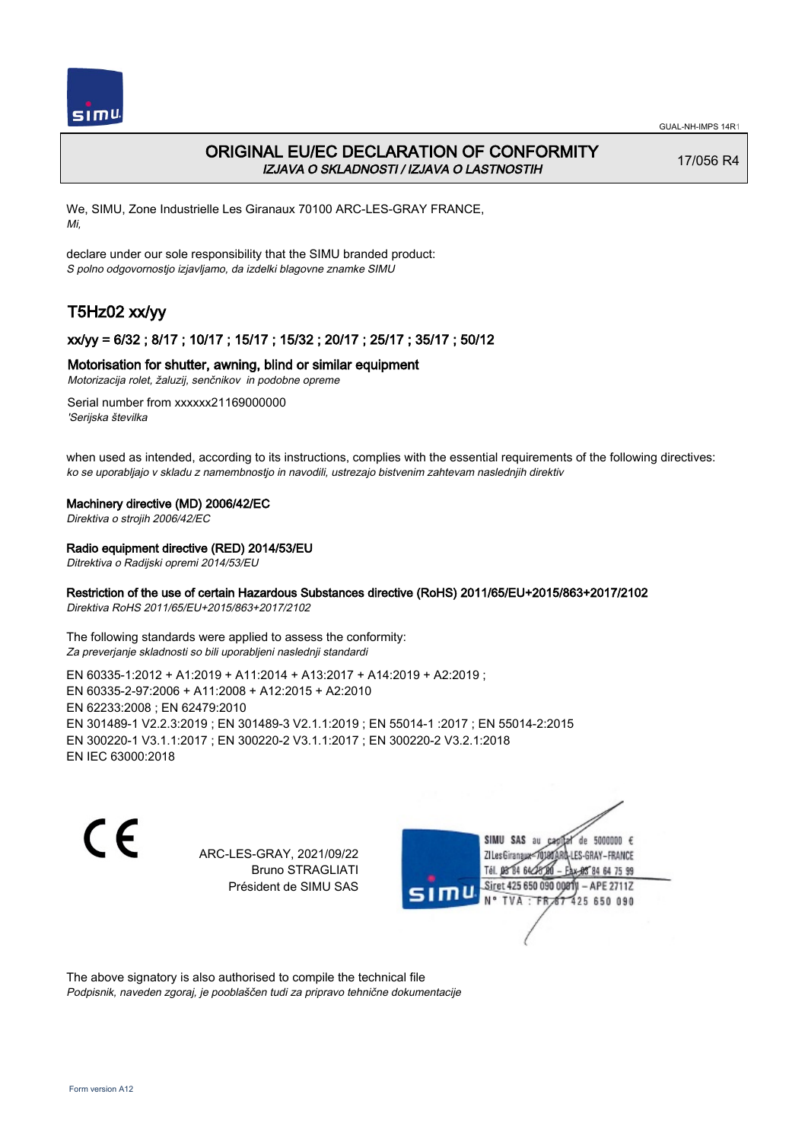

## ORIGINAL EU/EC DECLARATION OF CONFORMITY IZJAVA O SKLADNOSTI / IZJAVA O LASTNOSTIH

17/056 R4

We, SIMU, Zone Industrielle Les Giranaux 70100 ARC-LES-GRAY FRANCE, Mi,

declare under our sole responsibility that the SIMU branded product: S polno odgovornostjo izjavljamo, da izdelki blagovne znamke SIMU

# T5Hz02 xx/yy

## xx/yy = 6/32 ; 8/17 ; 10/17 ; 15/17 ; 15/32 ; 20/17 ; 25/17 ; 35/17 ; 50/12

### Motorisation for shutter, awning, blind or similar equipment

Motorizacija rolet, žaluzij, senčnikov in podobne opreme

Serial number from xxxxxx21169000000 'Serijska številka

when used as intended, according to its instructions, complies with the essential requirements of the following directives: ko se uporabljajo v skladu z namembnostjo in navodili, ustrezajo bistvenim zahtevam naslednjih direktiv

#### Machinery directive (MD) 2006/42/EC

Direktiva o strojih 2006/42/EC

### Radio equipment directive (RED) 2014/53/EU

Ditrektiva o Radijski opremi 2014/53/EU

## Restriction of the use of certain Hazardous Substances directive (RoHS) 2011/65/EU+2015/863+2017/2102

Direktiva RoHS 2011/65/EU+2015/863+2017/2102

The following standards were applied to assess the conformity: Za preverjanje skladnosti so bili uporabljeni naslednji standardi

EN 60335‑1:2012 + A1:2019 + A11:2014 + A13:2017 + A14:2019 + A2:2019 ; EN 60335‑2‑97:2006 + A11:2008 + A12:2015 + A2:2010 EN 62233:2008 ; EN 62479:2010 EN 301489‑1 V2.2.3:2019 ; EN 301489‑3 V2.1.1:2019 ; EN 55014‑1 :2017 ; EN 55014‑2:2015 EN 300220‑1 V3.1.1:2017 ; EN 300220‑2 V3.1.1:2017 ; EN 300220‑2 V3.2.1:2018 EN IEC 63000:2018

 $\epsilon$ 

ARC-LES-GRAY, 2021/09/22 Bruno STRAGLIATI Président de SIMU SAS



The above signatory is also authorised to compile the technical file Podpisnik, naveden zgoraj, je pooblaščen tudi za pripravo tehnične dokumentacije